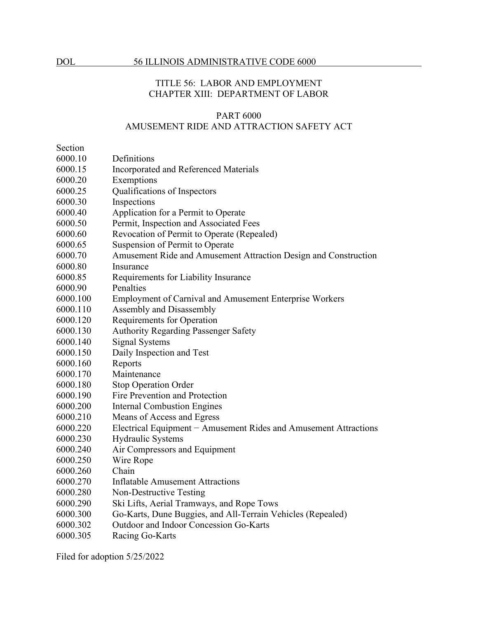# TITLE 56: LABOR AND EMPLOYMENT CHAPTER XIII: DEPARTMENT OF LABOR

### PART 6000 AMUSEMENT RIDE AND ATTRACTION SAFETY ACT

Section

- 6000.10 Definitions
- 6000.15 Incorporated and Referenced Materials
- 6000.20 Exemptions
- 6000.25 Qualifications of Inspectors
- 6000.30 Inspections
- 6000.40 Application for a Permit to Operate
- 6000.50 Permit, Inspection and Associated Fees
- 6000.60 Revocation of Permit to Operate (Repealed)
- 6000.65 Suspension of Permit to Operate
- 6000.70 Amusement Ride and Amusement Attraction Design and Construction
- 6000.80 Insurance
- 6000.85 Requirements for Liability Insurance
- 6000.90 Penalties
- 6000.100 Employment of Carnival and Amusement Enterprise Workers
- 6000.110 Assembly and Disassembly
- 6000.120 Requirements for Operation
- 6000.130 Authority Regarding Passenger Safety
- 6000.140 Signal Systems
- 6000.150 Daily Inspection and Test
- 6000.160 Reports
- 6000.170 Maintenance
- 6000.180 Stop Operation Order
- 6000.190 Fire Prevention and Protection
- 6000.200 Internal Combustion Engines
- 6000.210 Means of Access and Egress
- 6000.220 Electrical Equipment − Amusement Rides and Amusement Attractions
- 6000.230 Hydraulic Systems
- 6000.240 Air Compressors and Equipment
- 6000.250 Wire Rope
- 6000.260 Chain
- 6000.270 Inflatable Amusement Attractions
- 6000.280 Non-Destructive Testing
- 6000.290 Ski Lifts, Aerial Tramways, and Rope Tows
- 6000.300 Go-Karts, Dune Buggies, and All-Terrain Vehicles (Repealed)
- 6000.302 Outdoor and Indoor Concession Go-Karts
- 6000.305 Racing Go-Karts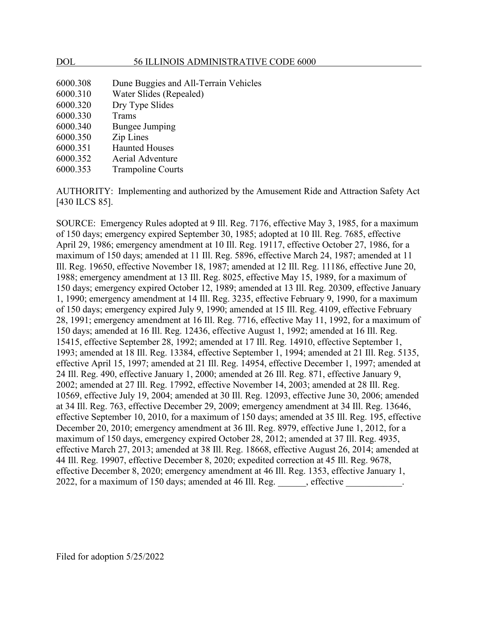#### DOL 56 ILLINOIS ADMINISTRATIVE CODE 6000

| 6000.308 | Dune Buggies and All-Terrain Vehicles |
|----------|---------------------------------------|
| 6000.310 | Water Slides (Repealed)               |
| 6000.320 | Dry Type Slides                       |
| 6000.330 | Trams                                 |
| 6000.340 | <b>Bungee Jumping</b>                 |
| 6000.350 | Zip Lines                             |
| 6000.351 | <b>Haunted Houses</b>                 |
| 6000.352 | Aerial Adventure                      |
| 6000.353 | <b>Trampoline Courts</b>              |

AUTHORITY: Implementing and authorized by the Amusement Ride and Attraction Safety Act [430 ILCS 85].

SOURCE: Emergency Rules adopted at 9 Ill. Reg. 7176, effective May 3, 1985, for a maximum of 150 days; emergency expired September 30, 1985; adopted at 10 Ill. Reg. 7685, effective April 29, 1986; emergency amendment at 10 Ill. Reg. 19117, effective October 27, 1986, for a maximum of 150 days; amended at 11 Ill. Reg. 5896, effective March 24, 1987; amended at 11 Ill. Reg. 19650, effective November 18, 1987; amended at 12 Ill. Reg. 11186, effective June 20, 1988; emergency amendment at 13 Ill. Reg. 8025, effective May 15, 1989, for a maximum of 150 days; emergency expired October 12, 1989; amended at 13 Ill. Reg. 20309, effective January 1, 1990; emergency amendment at 14 Ill. Reg. 3235, effective February 9, 1990, for a maximum of 150 days; emergency expired July 9, 1990; amended at 15 Ill. Reg. 4109, effective February 28, 1991; emergency amendment at 16 Ill. Reg. 7716, effective May 11, 1992, for a maximum of 150 days; amended at 16 Ill. Reg. 12436, effective August 1, 1992; amended at 16 Ill. Reg. 15415, effective September 28, 1992; amended at 17 Ill. Reg. 14910, effective September 1, 1993; amended at 18 Ill. Reg. 13384, effective September 1, 1994; amended at 21 Ill. Reg. 5135, effective April 15, 1997; amended at 21 Ill. Reg. 14954, effective December 1, 1997; amended at 24 Ill. Reg. 490, effective January 1, 2000; amended at 26 Ill. Reg. 871, effective January 9, 2002; amended at 27 Ill. Reg. 17992, effective November 14, 2003; amended at 28 Ill. Reg. 10569, effective July 19, 2004; amended at 30 Ill. Reg. 12093, effective June 30, 2006; amended at 34 Ill. Reg. 763, effective December 29, 2009; emergency amendment at 34 Ill. Reg. 13646, effective September 10, 2010, for a maximum of 150 days; amended at 35 Ill. Reg. 195, effective December 20, 2010; emergency amendment at 36 Ill. Reg. 8979, effective June 1, 2012, for a maximum of 150 days, emergency expired October 28, 2012; amended at 37 Ill. Reg. 4935, effective March 27, 2013; amended at 38 Ill. Reg. 18668, effective August 26, 2014; amended at 44 Ill. Reg. 19907, effective December 8, 2020; expedited correction at 45 Ill. Reg. 9678, effective December 8, 2020; emergency amendment at 46 Ill. Reg. 1353, effective January 1, 2022, for a maximum of 150 days; amended at 46 Ill. Reg. \_\_\_\_\_\_, effective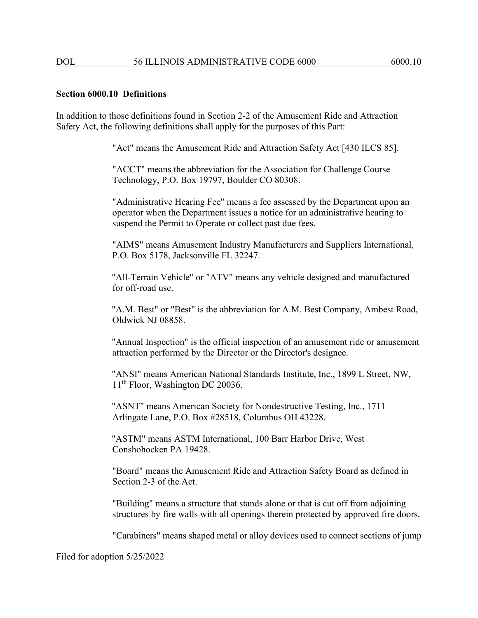#### **Section 6000.10 Definitions**

In addition to those definitions found in Section 2-2 of the Amusement Ride and Attraction Safety Act, the following definitions shall apply for the purposes of this Part:

"Act" means the Amusement Ride and Attraction Safety Act [430 ILCS 85].

"ACCT" means the abbreviation for the Association for Challenge Course Technology, P.O. Box 19797, Boulder CO 80308.

"Administrative Hearing Fee" means a fee assessed by the Department upon an operator when the Department issues a notice for an administrative hearing to suspend the Permit to Operate or collect past due fees.

"AIMS" means Amusement Industry Manufacturers and Suppliers International, P.O. Box 5178, Jacksonville FL 32247.

"All-Terrain Vehicle" or "ATV" means any vehicle designed and manufactured for off-road use.

"A.M. Best" or "Best" is the abbreviation for A.M. Best Company, Ambest Road, Oldwick NJ 08858.

"Annual Inspection" is the official inspection of an amusement ride or amusement attraction performed by the Director or the Director's designee.

"ANSI" means American National Standards Institute, Inc., 1899 L Street, NW, 11<sup>th</sup> Floor, Washington DC 20036.

"ASNT" means American Society for Nondestructive Testing, Inc., 1711 Arlingate Lane, P.O. Box #28518, Columbus OH 43228.

"ASTM" means ASTM International, 100 Barr Harbor Drive, West Conshohocken PA 19428.

"Board" means the Amusement Ride and Attraction Safety Board as defined in Section 2-3 of the Act.

"Building" means a structure that stands alone or that is cut off from adjoining structures by fire walls with all openings therein protected by approved fire doors.

"Carabiners" means shaped metal or alloy devices used to connect sections of jump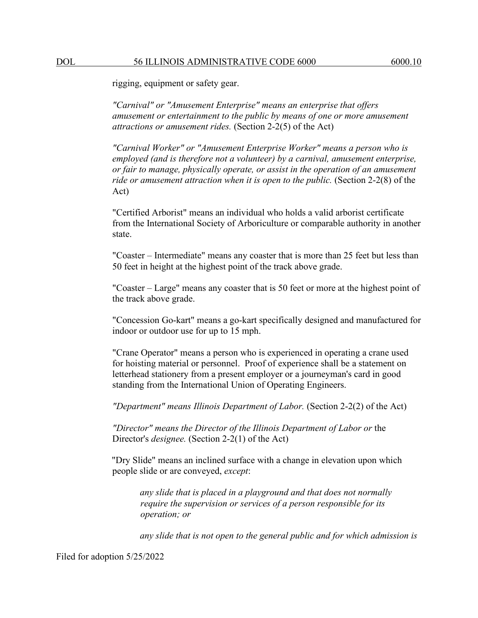rigging, equipment or safety gear.

*"Carnival" or "Amusement Enterprise" means an enterprise that offers amusement or entertainment to the public by means of one or more amusement attractions or amusement rides.* (Section 2-2(5) of the Act)

*"Carnival Worker" or "Amusement Enterprise Worker" means a person who is employed (and is therefore not a volunteer) by a carnival, amusement enterprise, or fair to manage, physically operate, or assist in the operation of an amusement ride or amusement attraction when it is open to the public.* (Section 2-2(8) of the Act)

"Certified Arborist" means an individual who holds a valid arborist certificate from the International Society of Arboriculture or comparable authority in another state.

"Coaster – Intermediate" means any coaster that is more than 25 feet but less than 50 feet in height at the highest point of the track above grade.

"Coaster – Large" means any coaster that is 50 feet or more at the highest point of the track above grade.

"Concession Go-kart" means a go-kart specifically designed and manufactured for indoor or outdoor use for up to 15 mph.

"Crane Operator" means a person who is experienced in operating a crane used for hoisting material or personnel. Proof of experience shall be a statement on letterhead stationery from a present employer or a journeyman's card in good standing from the International Union of Operating Engineers.

*"Department" means Illinois Department of Labor.* (Section 2-2(2) of the Act)

*"Director" means the Director of the Illinois Department of Labor or* the Director's *designee.* (Section 2-2(1) of the Act)

"Dry Slide" means an inclined surface with a change in elevation upon which people slide or are conveyed, *except*:

*any slide that is placed in a playground and that does not normally require the supervision or services of a person responsible for its operation; or*

*any slide that is not open to the general public and for which admission is*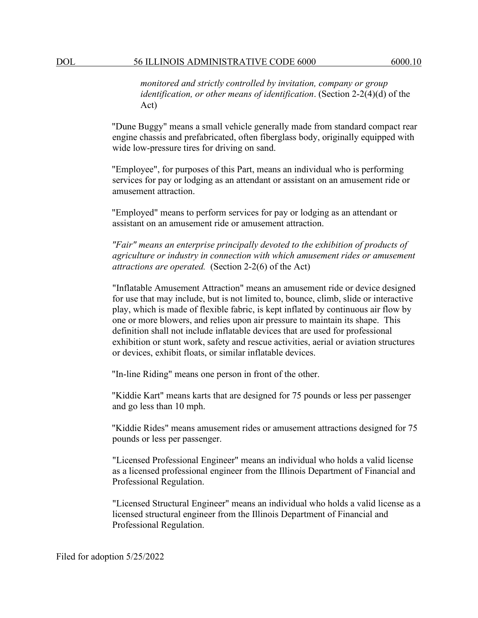*monitored and strictly controlled by invitation, company or group identification, or other means of identification*. (Section 2-2(4)(d) of the Act)

"Dune Buggy" means a small vehicle generally made from standard compact rear engine chassis and prefabricated, often fiberglass body, originally equipped with wide low-pressure tires for driving on sand.

"Employee", for purposes of this Part, means an individual who is performing services for pay or lodging as an attendant or assistant on an amusement ride or amusement attraction.

"Employed" means to perform services for pay or lodging as an attendant or assistant on an amusement ride or amusement attraction.

*"Fair" means an enterprise principally devoted to the exhibition of products of agriculture or industry in connection with which amusement rides or amusement attractions are operated.* (Section 2-2(6) of the Act)

"Inflatable Amusement Attraction" means an amusement ride or device designed for use that may include, but is not limited to, bounce, climb, slide or interactive play, which is made of flexible fabric, is kept inflated by continuous air flow by one or more blowers, and relies upon air pressure to maintain its shape. This definition shall not include inflatable devices that are used for professional exhibition or stunt work, safety and rescue activities, aerial or aviation structures or devices, exhibit floats, or similar inflatable devices.

"In-line Riding" means one person in front of the other.

"Kiddie Kart" means karts that are designed for 75 pounds or less per passenger and go less than 10 mph.

"Kiddie Rides" means amusement rides or amusement attractions designed for 75 pounds or less per passenger.

"Licensed Professional Engineer" means an individual who holds a valid license as a licensed professional engineer from the Illinois Department of Financial and Professional Regulation.

"Licensed Structural Engineer" means an individual who holds a valid license as a licensed structural engineer from the Illinois Department of Financial and Professional Regulation.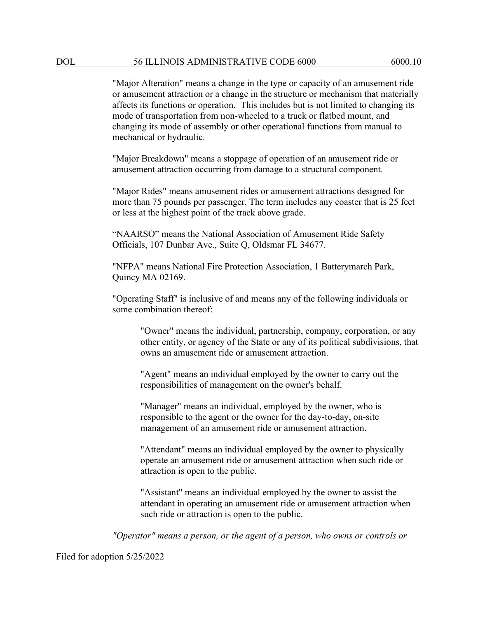"Major Alteration" means a change in the type or capacity of an amusement ride or amusement attraction or a change in the structure or mechanism that materially affects its functions or operation. This includes but is not limited to changing its mode of transportation from non-wheeled to a truck or flatbed mount, and changing its mode of assembly or other operational functions from manual to mechanical or hydraulic.

"Major Breakdown" means a stoppage of operation of an amusement ride or amusement attraction occurring from damage to a structural component.

"Major Rides" means amusement rides or amusement attractions designed for more than 75 pounds per passenger. The term includes any coaster that is 25 feet or less at the highest point of the track above grade.

"NAARSO" means the National Association of Amusement Ride Safety Officials, 107 Dunbar Ave., Suite Q, Oldsmar FL 34677.

"NFPA" means National Fire Protection Association, 1 Batterymarch Park, Quincy MA 02169.

"Operating Staff" is inclusive of and means any of the following individuals or some combination thereof:

"Owner" means the individual, partnership, company, corporation, or any other entity, or agency of the State or any of its political subdivisions, that owns an amusement ride or amusement attraction.

"Agent" means an individual employed by the owner to carry out the responsibilities of management on the owner's behalf.

"Manager" means an individual, employed by the owner, who is responsible to the agent or the owner for the day-to-day, on-site management of an amusement ride or amusement attraction.

"Attendant" means an individual employed by the owner to physically operate an amusement ride or amusement attraction when such ride or attraction is open to the public.

"Assistant" means an individual employed by the owner to assist the attendant in operating an amusement ride or amusement attraction when such ride or attraction is open to the public.

*"Operator" means a person, or the agent of a person, who owns or controls or*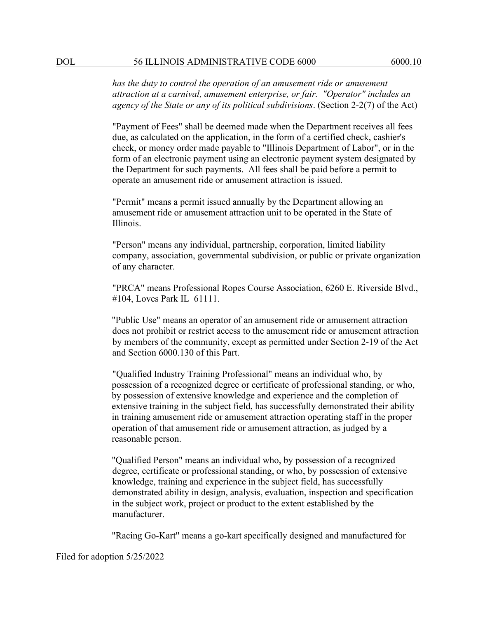*has the duty to control the operation of an amusement ride or amusement attraction at a carnival, amusement enterprise, or fair. "Operator" includes an agency of the State or any of its political subdivisions*. (Section 2-2(7) of the Act)

"Payment of Fees" shall be deemed made when the Department receives all fees due, as calculated on the application, in the form of a certified check, cashier's check, or money order made payable to "Illinois Department of Labor", or in the form of an electronic payment using an electronic payment system designated by the Department for such payments. All fees shall be paid before a permit to operate an amusement ride or amusement attraction is issued.

"Permit" means a permit issued annually by the Department allowing an amusement ride or amusement attraction unit to be operated in the State of Illinois.

"Person" means any individual, partnership, corporation, limited liability company, association, governmental subdivision, or public or private organization of any character.

"PRCA" means Professional Ropes Course Association, 6260 E. Riverside Blvd., #104, Loves Park IL 61111.

"Public Use" means an operator of an amusement ride or amusement attraction does not prohibit or restrict access to the amusement ride or amusement attraction by members of the community, except as permitted under Section 2-19 of the Act and Section 6000.130 of this Part.

"Qualified Industry Training Professional" means an individual who, by possession of a recognized degree or certificate of professional standing, or who, by possession of extensive knowledge and experience and the completion of extensive training in the subject field, has successfully demonstrated their ability in training amusement ride or amusement attraction operating staff in the proper operation of that amusement ride or amusement attraction, as judged by a reasonable person.

"Qualified Person" means an individual who, by possession of a recognized degree, certificate or professional standing, or who, by possession of extensive knowledge, training and experience in the subject field, has successfully demonstrated ability in design, analysis, evaluation, inspection and specification in the subject work, project or product to the extent established by the manufacturer.

"Racing Go-Kart" means a go-kart specifically designed and manufactured for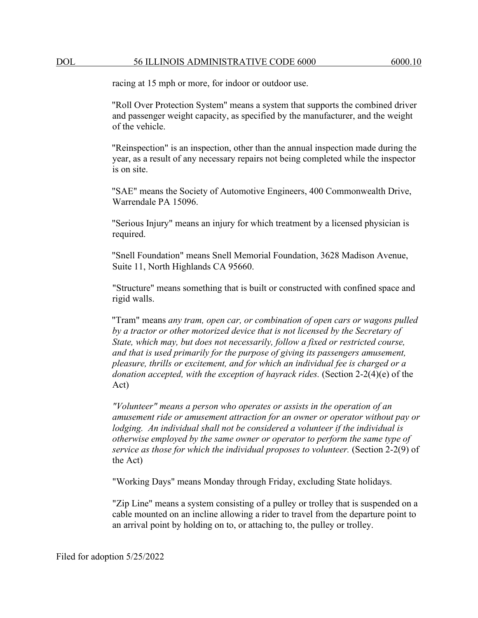racing at 15 mph or more, for indoor or outdoor use.

"Roll Over Protection System" means a system that supports the combined driver and passenger weight capacity, as specified by the manufacturer, and the weight of the vehicle.

"Reinspection" is an inspection, other than the annual inspection made during the year, as a result of any necessary repairs not being completed while the inspector is on site.

"SAE" means the Society of Automotive Engineers, 400 Commonwealth Drive, Warrendale PA 15096.

"Serious Injury" means an injury for which treatment by a licensed physician is required.

"Snell Foundation" means Snell Memorial Foundation, 3628 Madison Avenue, Suite 11, North Highlands CA 95660.

"Structure" means something that is built or constructed with confined space and rigid walls.

"Tram" means *any tram, open car, or combination of open cars or wagons pulled by a tractor or other motorized device that is not licensed by the Secretary of State, which may, but does not necessarily, follow a fixed or restricted course, and that is used primarily for the purpose of giving its passengers amusement, pleasure, thrills or excitement, and for which an individual fee is charged or a donation accepted, with the exception of hayrack rides.* (Section 2-2(4)(e) of the Act)

*"Volunteer" means a person who operates or assists in the operation of an amusement ride or amusement attraction for an owner or operator without pay or lodging. An individual shall not be considered a volunteer if the individual is otherwise employed by the same owner or operator to perform the same type of service as those for which the individual proposes to volunteer.* (Section 2-2(9) of the Act)

"Working Days" means Monday through Friday, excluding State holidays.

"Zip Line" means a system consisting of a pulley or trolley that is suspended on a cable mounted on an incline allowing a rider to travel from the departure point to an arrival point by holding on to, or attaching to, the pulley or trolley.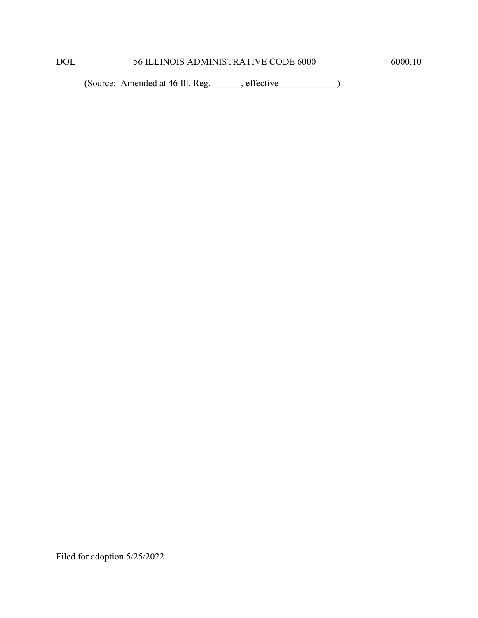(Source: Amended at 46 Ill. Reg. \_\_\_\_\_\_, effective \_\_\_\_\_\_\_\_\_\_\_\_)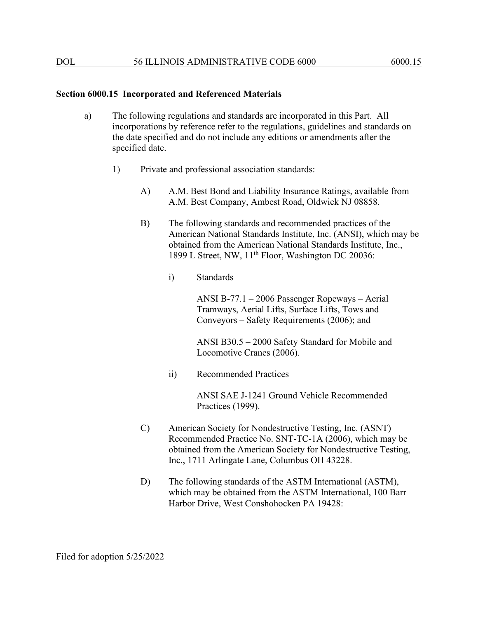#### **Section 6000.15 Incorporated and Referenced Materials**

- a) The following regulations and standards are incorporated in this Part. All incorporations by reference refer to the regulations, guidelines and standards on the date specified and do not include any editions or amendments after the specified date.
	- 1) Private and professional association standards:
		- A) A.M. Best Bond and Liability Insurance Ratings, available from A.M. Best Company, Ambest Road, Oldwick NJ 08858.
		- B) The following standards and recommended practices of the American National Standards Institute, Inc. (ANSI), which may be obtained from the American National Standards Institute, Inc., 1899 L Street, NW, 11<sup>th</sup> Floor, Washington DC 20036:
			- i) Standards

ANSI B-77.1 – 2006 Passenger Ropeways – Aerial Tramways, Aerial Lifts, Surface Lifts, Tows and Conveyors – Safety Requirements (2006); and

ANSI B30.5 – 2000 Safety Standard for Mobile and Locomotive Cranes (2006).

ii) Recommended Practices

ANSI SAE J-1241 Ground Vehicle Recommended Practices (1999).

- C) American Society for Nondestructive Testing, Inc. (ASNT) Recommended Practice No. SNT-TC-1A (2006), which may be obtained from the American Society for Nondestructive Testing, Inc., 1711 Arlingate Lane, Columbus OH 43228.
- D) The following standards of the ASTM International (ASTM), which may be obtained from the ASTM International, 100 Barr Harbor Drive, West Conshohocken PA 19428: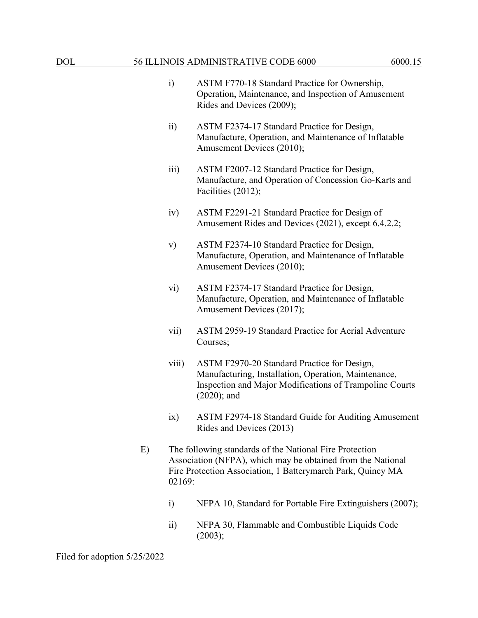- i) ASTM F770-18 Standard Practice for Ownership, Operation, Maintenance, and Inspection of Amusement Rides and Devices (2009);
- ii) ASTM F2374-17 Standard Practice for Design, Manufacture, Operation, and Maintenance of Inflatable Amusement Devices (2010);
- iii) ASTM F2007-12 Standard Practice for Design, Manufacture, and Operation of Concession Go-Karts and Facilities (2012);
- iv) ASTM F2291-21 Standard Practice for Design of Amusement Rides and Devices (2021), except 6.4.2.2;
- v) ASTM F2374-10 Standard Practice for Design, Manufacture, Operation, and Maintenance of Inflatable Amusement Devices (2010);
- vi) ASTM F2374-17 Standard Practice for Design, Manufacture, Operation, and Maintenance of Inflatable Amusement Devices (2017);
- vii) ASTM 2959-19 Standard Practice for Aerial Adventure Courses;
- viii) ASTM F2970-20 Standard Practice for Design, Manufacturing, Installation, Operation, Maintenance, Inspection and Major Modifications of Trampoline Courts (2020); and
- ix) ASTM F2974-18 Standard Guide for Auditing Amusement Rides and Devices (2013)
- E) The following standards of the National Fire Protection Association (NFPA), which may be obtained from the National Fire Protection Association, 1 Batterymarch Park, Quincy MA 02169:
	- i) NFPA 10, Standard for Portable Fire Extinguishers (2007);
	- ii) NFPA 30, Flammable and Combustible Liquids Code (2003);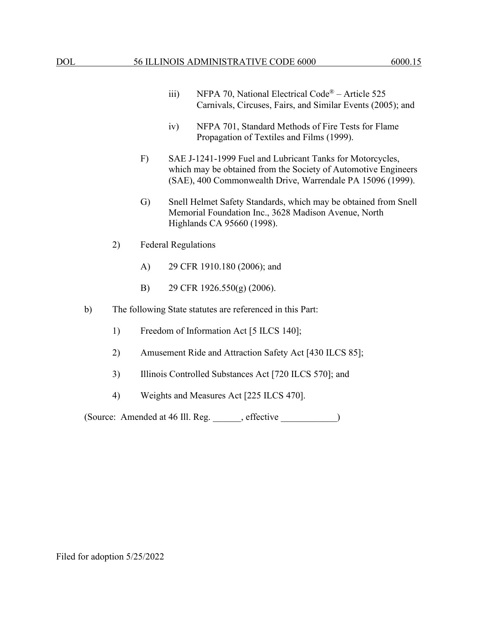- iii) NFPA 70, National Electrical Code<sup>®</sup> Article 525 Carnivals, Circuses, Fairs, and Similar Events (2005); and
- iv) NFPA 701, Standard Methods of Fire Tests for Flame Propagation of Textiles and Films (1999).
- F) SAE J-1241-1999 Fuel and Lubricant Tanks for Motorcycles, which may be obtained from the Society of Automotive Engineers (SAE), 400 Commonwealth Drive, Warrendale PA 15096 (1999).
- G) Snell Helmet Safety Standards, which may be obtained from Snell Memorial Foundation Inc., 3628 Madison Avenue, North Highlands CA 95660 (1998).
- 2) Federal Regulations
	- A) 29 CFR 1910.180 (2006); and
	- B) 29 CFR 1926.550(g) (2006).
- b) The following State statutes are referenced in this Part:
	- 1) Freedom of Information Act [5 ILCS 140];
	- 2) Amusement Ride and Attraction Safety Act [430 ILCS 85];
	- 3) Illinois Controlled Substances Act [720 ILCS 570]; and
	- 4) Weights and Measures Act [225 ILCS 470].

(Source: Amended at 46 Ill. Reg. \_\_\_\_\_\_, effective \_\_\_\_\_\_\_\_\_\_\_\_)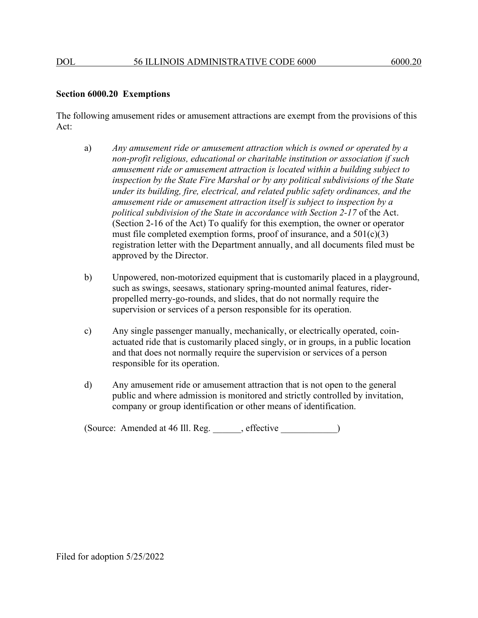### **Section 6000.20 Exemptions**

The following amusement rides or amusement attractions are exempt from the provisions of this Act:

- a) *Any amusement ride or amusement attraction which is owned or operated by a non-profit religious, educational or charitable institution or association if such amusement ride or amusement attraction is located within a building subject to inspection by the State Fire Marshal or by any political subdivisions of the State under its building, fire, electrical, and related public safety ordinances, and the amusement ride or amusement attraction itself is subject to inspection by a political subdivision of the State in accordance with Section 2-17* of the Act. (Section 2-16 of the Act) To qualify for this exemption, the owner or operator must file completed exemption forms, proof of insurance, and a  $501(c)(3)$ registration letter with the Department annually, and all documents filed must be approved by the Director.
- b) Unpowered, non-motorized equipment that is customarily placed in a playground, such as swings, seesaws, stationary spring-mounted animal features, riderpropelled merry-go-rounds, and slides, that do not normally require the supervision or services of a person responsible for its operation.
- c) Any single passenger manually, mechanically, or electrically operated, coinactuated ride that is customarily placed singly, or in groups, in a public location and that does not normally require the supervision or services of a person responsible for its operation.
- d) Any amusement ride or amusement attraction that is not open to the general public and where admission is monitored and strictly controlled by invitation, company or group identification or other means of identification.

(Source: Amended at 46 Ill. Reg. effective )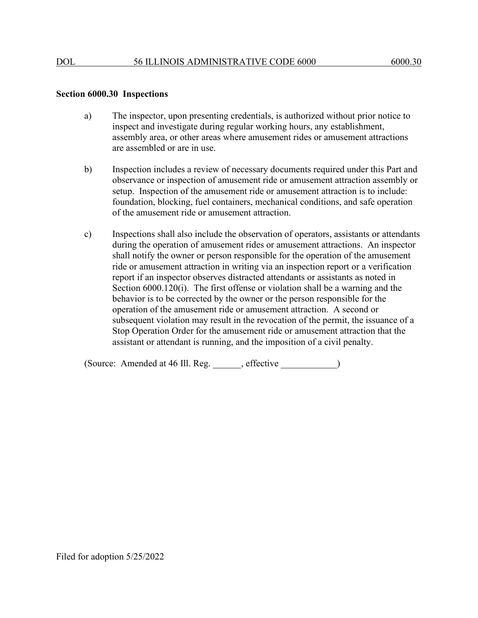#### **Section 6000.30 Inspections**

- a) The inspector, upon presenting credentials, is authorized without prior notice to inspect and investigate during regular working hours, any establishment, assembly area, or other areas where amusement rides or amusement attractions are assembled or are in use.
- b) Inspection includes a review of necessary documents required under this Part and observance or inspection of amusement ride or amusement attraction assembly or setup. Inspection of the amusement ride or amusement attraction is to include: foundation, blocking, fuel containers, mechanical conditions, and safe operation of the amusement ride or amusement attraction.
- c) Inspections shall also include the observation of operators, assistants or attendants during the operation of amusement rides or amusement attractions. An inspector shall notify the owner or person responsible for the operation of the amusement ride or amusement attraction in writing via an inspection report or a verification report if an inspector observes distracted attendants or assistants as noted in Section 6000.120(i). The first offense or violation shall be a warning and the behavior is to be corrected by the owner or the person responsible for the operation of the amusement ride or amusement attraction. A second or subsequent violation may result in the revocation of the permit, the issuance of a Stop Operation Order for the amusement ride or amusement attraction that the assistant or attendant is running, and the imposition of a civil penalty.

(Source: Amended at 46 Ill. Reg. \_\_\_\_\_\_, effective \_\_\_\_\_\_\_\_\_\_\_\_)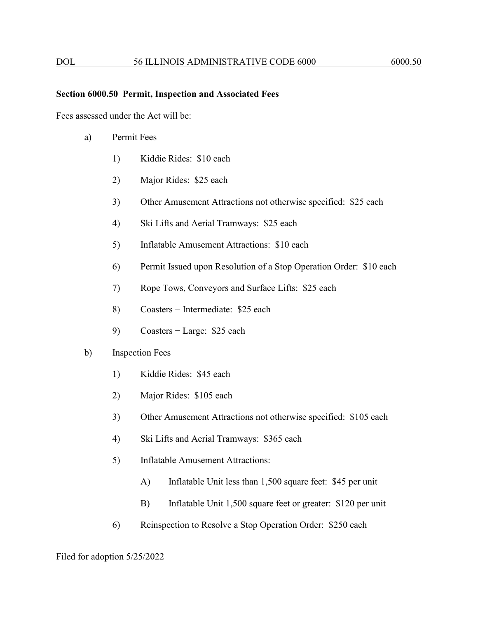#### **Section 6000.50 Permit, Inspection and Associated Fees**

Fees assessed under the Act will be:

- a) Permit Fees
	- 1) Kiddie Rides: \$10 each
	- 2) Major Rides: \$25 each
	- 3) Other Amusement Attractions not otherwise specified: \$25 each
	- 4) Ski Lifts and Aerial Tramways: \$25 each
	- 5) Inflatable Amusement Attractions: \$10 each
	- 6) Permit Issued upon Resolution of a Stop Operation Order: \$10 each
	- 7) Rope Tows, Conveyors and Surface Lifts: \$25 each
	- 8) Coasters − Intermediate: \$25 each
	- 9) Coasters − Large: \$25 each

## b) Inspection Fees

- 1) Kiddie Rides: \$45 each
- 2) Major Rides: \$105 each
- 3) Other Amusement Attractions not otherwise specified: \$105 each
- 4) Ski Lifts and Aerial Tramways: \$365 each
- 5) Inflatable Amusement Attractions:
	- A) Inflatable Unit less than 1,500 square feet: \$45 per unit
	- B) Inflatable Unit 1,500 square feet or greater: \$120 per unit
- 6) Reinspection to Resolve a Stop Operation Order: \$250 each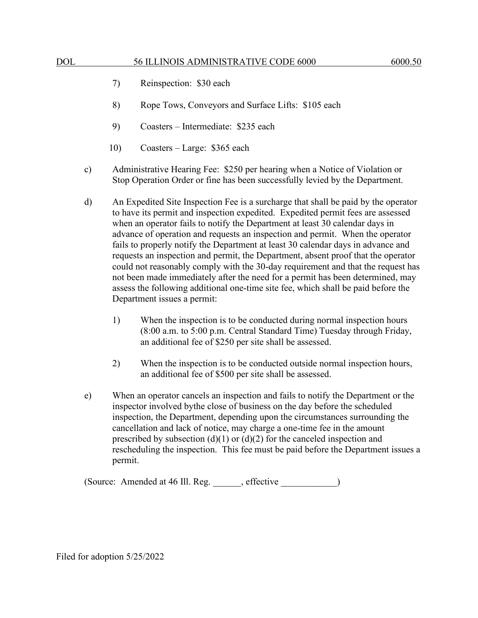- 7) Reinspection: \$30 each
- 8) Rope Tows, Conveyors and Surface Lifts: \$105 each
- 9) Coasters Intermediate: \$235 each
- 10) Coasters Large: \$365 each
- c) Administrative Hearing Fee: \$250 per hearing when a Notice of Violation or Stop Operation Order or fine has been successfully levied by the Department.
- d) An Expedited Site Inspection Fee is a surcharge that shall be paid by the operator to have its permit and inspection expedited. Expedited permit fees are assessed when an operator fails to notify the Department at least 30 calendar days in advance of operation and requests an inspection and permit. When the operator fails to properly notify the Department at least 30 calendar days in advance and requests an inspection and permit, the Department, absent proof that the operator could not reasonably comply with the 30-day requirement and that the request has not been made immediately after the need for a permit has been determined, may assess the following additional one-time site fee, which shall be paid before the Department issues a permit:
	- 1) When the inspection is to be conducted during normal inspection hours (8:00 a.m. to 5:00 p.m. Central Standard Time) Tuesday through Friday, an additional fee of \$250 per site shall be assessed.
	- 2) When the inspection is to be conducted outside normal inspection hours, an additional fee of \$500 per site shall be assessed.
- e) When an operator cancels an inspection and fails to notify the Department or the inspector involved bythe close of business on the day before the scheduled inspection, the Department, depending upon the circumstances surrounding the cancellation and lack of notice, may charge a one-time fee in the amount prescribed by subsection (d)(1) or (d)(2) for the canceled inspection and rescheduling the inspection. This fee must be paid before the Department issues a permit.

(Source: Amended at 46 Ill. Reg. effective )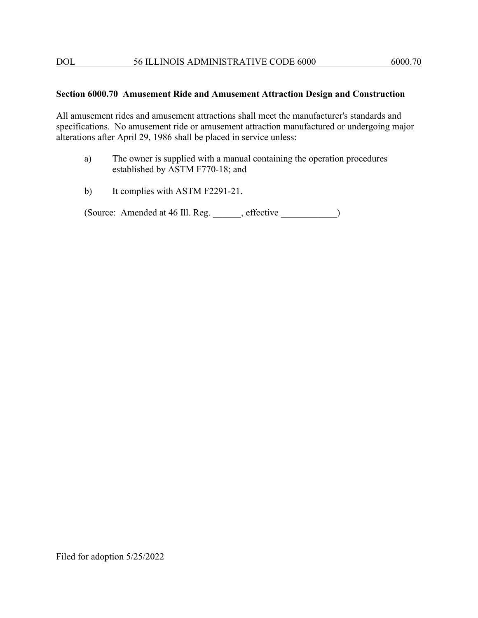## **Section 6000.70 Amusement Ride and Amusement Attraction Design and Construction**

All amusement rides and amusement attractions shall meet the manufacturer's standards and specifications. No amusement ride or amusement attraction manufactured or undergoing major alterations after April 29, 1986 shall be placed in service unless:

- a) The owner is supplied with a manual containing the operation procedures established by ASTM F770-18; and
- b) It complies with ASTM F2291-21.

(Source: Amended at 46 Ill. Reg. effective )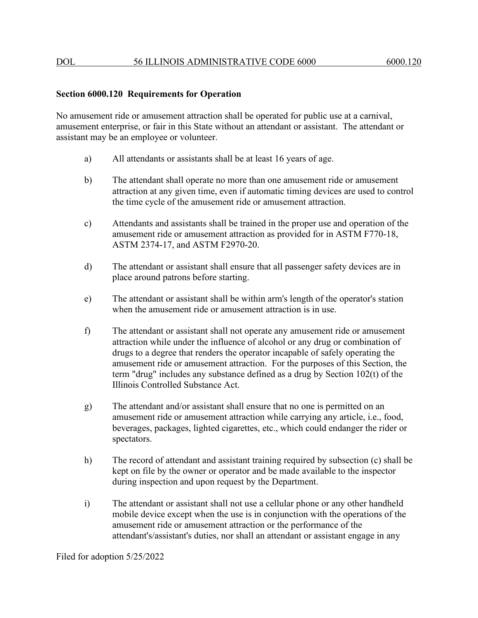# **Section 6000.120 Requirements for Operation**

No amusement ride or amusement attraction shall be operated for public use at a carnival, amusement enterprise, or fair in this State without an attendant or assistant. The attendant or assistant may be an employee or volunteer.

- a) All attendants or assistants shall be at least 16 years of age.
- b) The attendant shall operate no more than one amusement ride or amusement attraction at any given time, even if automatic timing devices are used to control the time cycle of the amusement ride or amusement attraction.
- c) Attendants and assistants shall be trained in the proper use and operation of the amusement ride or amusement attraction as provided for in ASTM F770-18, ASTM 2374-17, and ASTM F2970-20.
- d) The attendant or assistant shall ensure that all passenger safety devices are in place around patrons before starting.
- e) The attendant or assistant shall be within arm's length of the operator's station when the amusement ride or amusement attraction is in use.
- f) The attendant or assistant shall not operate any amusement ride or amusement attraction while under the influence of alcohol or any drug or combination of drugs to a degree that renders the operator incapable of safely operating the amusement ride or amusement attraction. For the purposes of this Section, the term "drug" includes any substance defined as a drug by Section 102(t) of the Illinois Controlled Substance Act.
- g) The attendant and/or assistant shall ensure that no one is permitted on an amusement ride or amusement attraction while carrying any article, i.e., food, beverages, packages, lighted cigarettes, etc., which could endanger the rider or spectators.
- h) The record of attendant and assistant training required by subsection (c) shall be kept on file by the owner or operator and be made available to the inspector during inspection and upon request by the Department.
- i) The attendant or assistant shall not use a cellular phone or any other handheld mobile device except when the use is in conjunction with the operations of the amusement ride or amusement attraction or the performance of the attendant's/assistant's duties, nor shall an attendant or assistant engage in any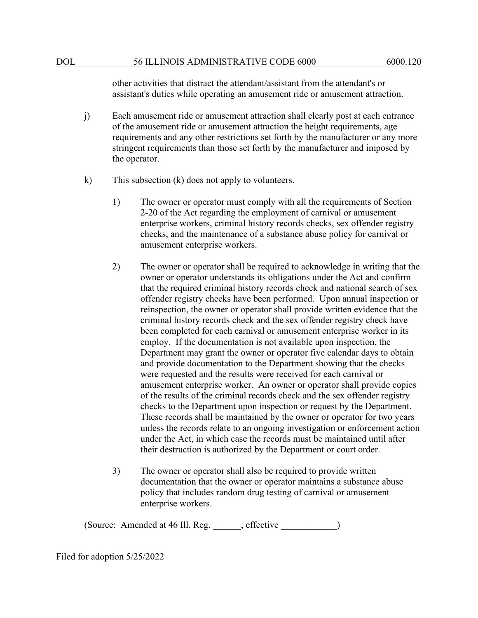other activities that distract the attendant/assistant from the attendant's or assistant's duties while operating an amusement ride or amusement attraction.

- j) Each amusement ride or amusement attraction shall clearly post at each entrance of the amusement ride or amusement attraction the height requirements, age requirements and any other restrictions set forth by the manufacturer or any more stringent requirements than those set forth by the manufacturer and imposed by the operator.
- k) This subsection (k) does not apply to volunteers.
	- 1) The owner or operator must comply with all the requirements of Section 2-20 of the Act regarding the employment of carnival or amusement enterprise workers, criminal history records checks, sex offender registry checks, and the maintenance of a substance abuse policy for carnival or amusement enterprise workers.
	- 2) The owner or operator shall be required to acknowledge in writing that the owner or operator understands its obligations under the Act and confirm that the required criminal history records check and national search of sex offender registry checks have been performed. Upon annual inspection or reinspection, the owner or operator shall provide written evidence that the criminal history records check and the sex offender registry check have been completed for each carnival or amusement enterprise worker in its employ. If the documentation is not available upon inspection, the Department may grant the owner or operator five calendar days to obtain and provide documentation to the Department showing that the checks were requested and the results were received for each carnival or amusement enterprise worker. An owner or operator shall provide copies of the results of the criminal records check and the sex offender registry checks to the Department upon inspection or request by the Department. These records shall be maintained by the owner or operator for two years unless the records relate to an ongoing investigation or enforcement action under the Act, in which case the records must be maintained until after their destruction is authorized by the Department or court order.
	- 3) The owner or operator shall also be required to provide written documentation that the owner or operator maintains a substance abuse policy that includes random drug testing of carnival or amusement enterprise workers.

(Source: Amended at 46 Ill. Reg. \_\_\_\_\_\_, effective \_\_\_\_\_\_\_\_\_\_\_\_)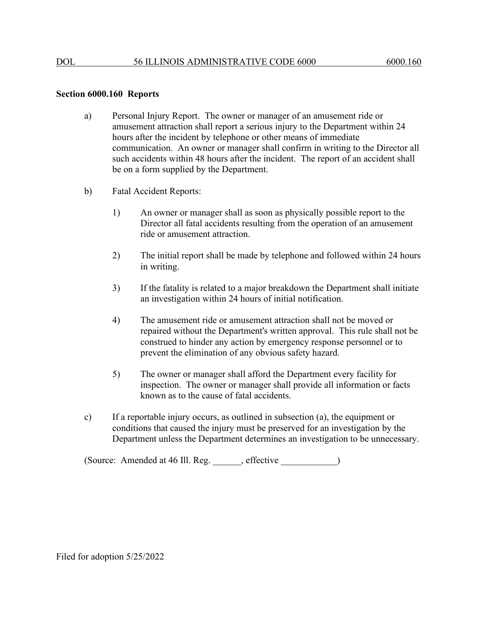#### **Section 6000.160 Reports**

- a) Personal Injury Report. The owner or manager of an amusement ride or amusement attraction shall report a serious injury to the Department within 24 hours after the incident by telephone or other means of immediate communication. An owner or manager shall confirm in writing to the Director all such accidents within 48 hours after the incident. The report of an accident shall be on a form supplied by the Department.
- b) Fatal Accident Reports:
	- 1) An owner or manager shall as soon as physically possible report to the Director all fatal accidents resulting from the operation of an amusement ride or amusement attraction.
	- 2) The initial report shall be made by telephone and followed within 24 hours in writing.
	- 3) If the fatality is related to a major breakdown the Department shall initiate an investigation within 24 hours of initial notification.
	- 4) The amusement ride or amusement attraction shall not be moved or repaired without the Department's written approval. This rule shall not be construed to hinder any action by emergency response personnel or to prevent the elimination of any obvious safety hazard.
	- 5) The owner or manager shall afford the Department every facility for inspection. The owner or manager shall provide all information or facts known as to the cause of fatal accidents.
- c) If a reportable injury occurs, as outlined in subsection (a), the equipment or conditions that caused the injury must be preserved for an investigation by the Department unless the Department determines an investigation to be unnecessary.

(Source: Amended at 46 Ill. Reg. \_\_\_\_\_\_, effective \_\_\_\_\_\_\_\_\_\_\_\_)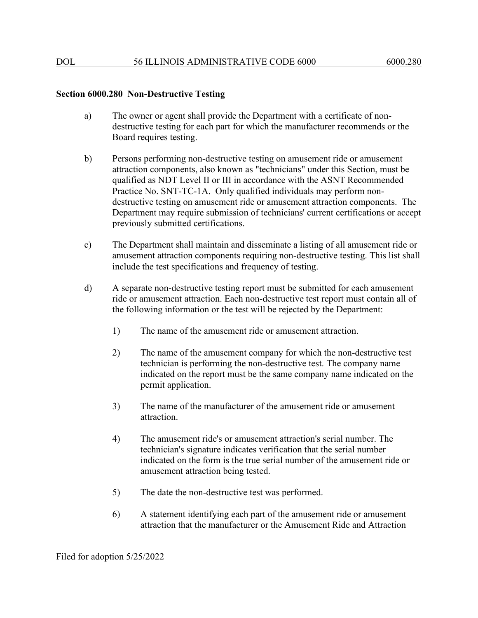# **Section 6000.280 Non-Destructive Testing**

- a) The owner or agent shall provide the Department with a certificate of nondestructive testing for each part for which the manufacturer recommends or the Board requires testing.
- b) Persons performing non-destructive testing on amusement ride or amusement attraction components, also known as "technicians" under this Section, must be qualified as NDT Level II or III in accordance with the ASNT Recommended Practice No. SNT-TC-1A. Only qualified individuals may perform nondestructive testing on amusement ride or amusement attraction components. The Department may require submission of technicians' current certifications or accept previously submitted certifications.
- c) The Department shall maintain and disseminate a listing of all amusement ride or amusement attraction components requiring non-destructive testing. This list shall include the test specifications and frequency of testing.
- d) A separate non-destructive testing report must be submitted for each amusement ride or amusement attraction. Each non-destructive test report must contain all of the following information or the test will be rejected by the Department:
	- 1) The name of the amusement ride or amusement attraction.
	- 2) The name of the amusement company for which the non-destructive test technician is performing the non-destructive test. The company name indicated on the report must be the same company name indicated on the permit application.
	- 3) The name of the manufacturer of the amusement ride or amusement attraction.
	- 4) The amusement ride's or amusement attraction's serial number. The technician's signature indicates verification that the serial number indicated on the form is the true serial number of the amusement ride or amusement attraction being tested.
	- 5) The date the non-destructive test was performed.
	- 6) A statement identifying each part of the amusement ride or amusement attraction that the manufacturer or the Amusement Ride and Attraction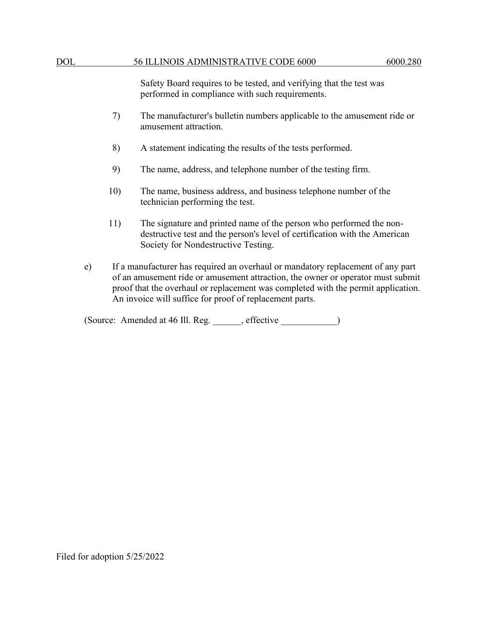Safety Board requires to be tested, and verifying that the test was performed in compliance with such requirements.

- 7) The manufacturer's bulletin numbers applicable to the amusement ride or amusement attraction.
- 8) A statement indicating the results of the tests performed.
- 9) The name, address, and telephone number of the testing firm.
- 10) The name, business address, and business telephone number of the technician performing the test.
- 11) The signature and printed name of the person who performed the nondestructive test and the person's level of certification with the American Society for Nondestructive Testing.
- e) If a manufacturer has required an overhaul or mandatory replacement of any part of an amusement ride or amusement attraction, the owner or operator must submit proof that the overhaul or replacement was completed with the permit application. An invoice will suffice for proof of replacement parts.

(Source: Amended at 46 Ill. Reg. effective )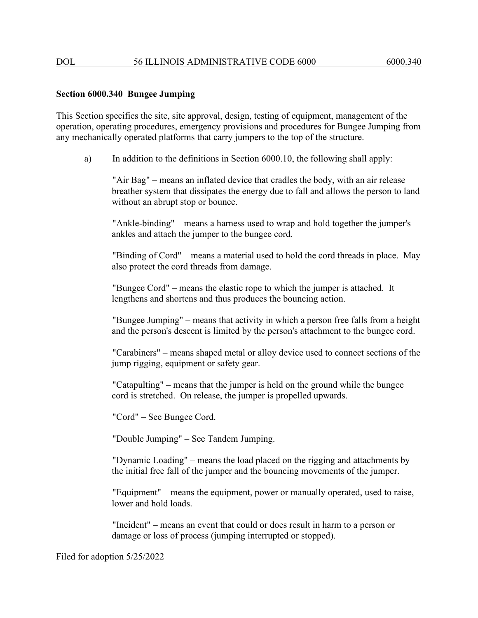### **Section 6000.340 Bungee Jumping**

This Section specifies the site, site approval, design, testing of equipment, management of the operation, operating procedures, emergency provisions and procedures for Bungee Jumping from any mechanically operated platforms that carry jumpers to the top of the structure.

a) In addition to the definitions in Section 6000.10, the following shall apply:

"Air Bag" – means an inflated device that cradles the body, with an air release breather system that dissipates the energy due to fall and allows the person to land without an abrupt stop or bounce.

"Ankle-binding" – means a harness used to wrap and hold together the jumper's ankles and attach the jumper to the bungee cord.

"Binding of Cord" – means a material used to hold the cord threads in place. May also protect the cord threads from damage.

"Bungee Cord" – means the elastic rope to which the jumper is attached. It lengthens and shortens and thus produces the bouncing action.

"Bungee Jumping" – means that activity in which a person free falls from a height and the person's descent is limited by the person's attachment to the bungee cord.

"Carabiners" – means shaped metal or alloy device used to connect sections of the jump rigging, equipment or safety gear.

"Catapulting" – means that the jumper is held on the ground while the bungee cord is stretched. On release, the jumper is propelled upwards.

"Cord" – See Bungee Cord.

"Double Jumping" – See Tandem Jumping.

"Dynamic Loading" – means the load placed on the rigging and attachments by the initial free fall of the jumper and the bouncing movements of the jumper.

"Equipment" – means the equipment, power or manually operated, used to raise, lower and hold loads.

"Incident" – means an event that could or does result in harm to a person or damage or loss of process (jumping interrupted or stopped).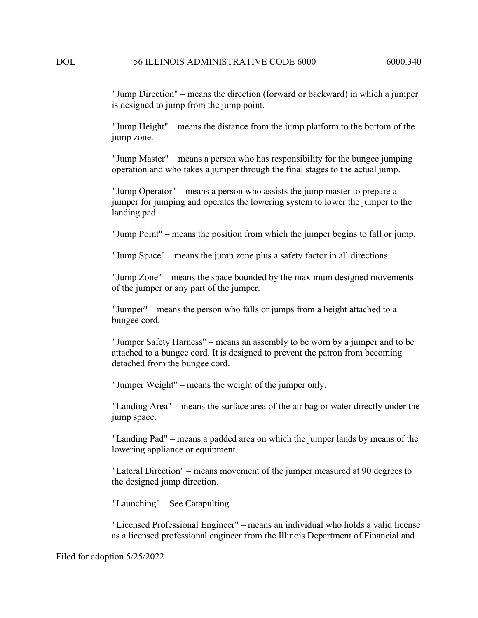"Jump Direction" – means the direction (forward or backward) in which a jumper is designed to jump from the jump point.

"Jump Height" – means the distance from the jump platform to the bottom of the jump zone.

"Jump Master" – means a person who has responsibility for the bungee jumping operation and who takes a jumper through the final stages to the actual jump.

"Jump Operator" – means a person who assists the jump master to prepare a jumper for jumping and operates the lowering system to lower the jumper to the landing pad.

"Jump Point" – means the position from which the jumper begins to fall or jump.

"Jump Space" – means the jump zone plus a safety factor in all directions.

"Jump Zone" – means the space bounded by the maximum designed movements of the jumper or any part of the jumper.

"Jumper" – means the person who falls or jumps from a height attached to a bungee cord.

"Jumper Safety Harness" – means an assembly to be worn by a jumper and to be attached to a bungee cord. It is designed to prevent the patron from becoming detached from the bungee cord.

"Jumper Weight" – means the weight of the jumper only.

"Landing Area" – means the surface area of the air bag or water directly under the jump space.

"Landing Pad" – means a padded area on which the jumper lands by means of the lowering appliance or equipment.

"Lateral Direction" – means movement of the jumper measured at 90 degrees to the designed jump direction.

"Launching" – See Catapulting.

"Licensed Professional Engineer" – means an individual who holds a valid license as a licensed professional engineer from the Illinois Department of Financial and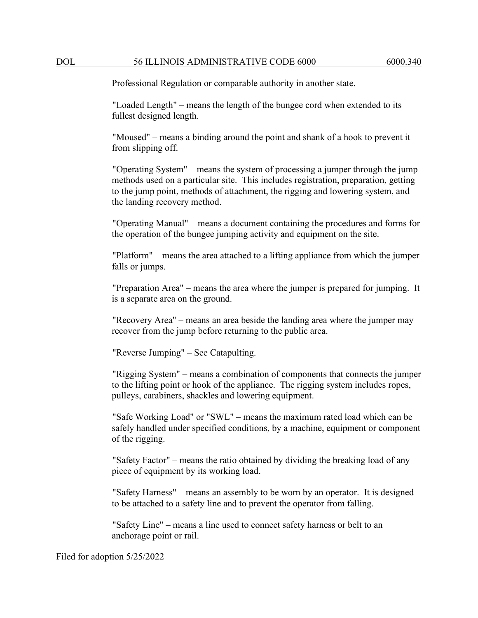Professional Regulation or comparable authority in another state.

"Loaded Length" – means the length of the bungee cord when extended to its fullest designed length.

"Moused" – means a binding around the point and shank of a hook to prevent it from slipping off.

"Operating System" – means the system of processing a jumper through the jump methods used on a particular site. This includes registration, preparation, getting to the jump point, methods of attachment, the rigging and lowering system, and the landing recovery method.

"Operating Manual" – means a document containing the procedures and forms for the operation of the bungee jumping activity and equipment on the site.

"Platform" – means the area attached to a lifting appliance from which the jumper falls or jumps.

"Preparation Area" – means the area where the jumper is prepared for jumping. It is a separate area on the ground.

"Recovery Area" – means an area beside the landing area where the jumper may recover from the jump before returning to the public area.

"Reverse Jumping" – See Catapulting.

"Rigging System" – means a combination of components that connects the jumper to the lifting point or hook of the appliance. The rigging system includes ropes, pulleys, carabiners, shackles and lowering equipment.

"Safe Working Load" or "SWL" – means the maximum rated load which can be safely handled under specified conditions, by a machine, equipment or component of the rigging.

"Safety Factor" – means the ratio obtained by dividing the breaking load of any piece of equipment by its working load.

"Safety Harness" – means an assembly to be worn by an operator. It is designed to be attached to a safety line and to prevent the operator from falling.

"Safety Line" – means a line used to connect safety harness or belt to an anchorage point or rail.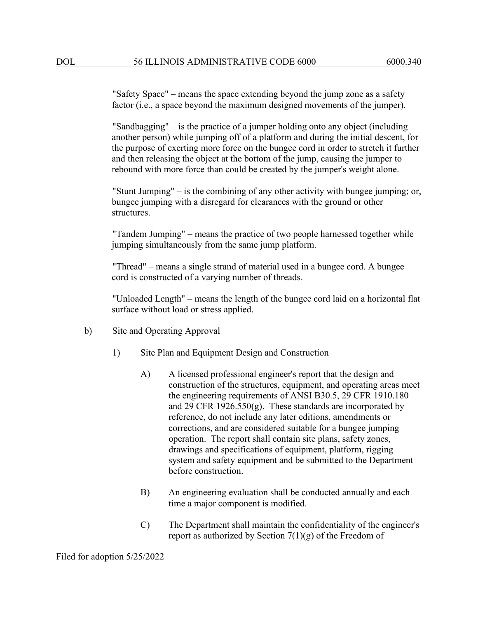"Safety Space" – means the space extending beyond the jump zone as a safety factor (i.e., a space beyond the maximum designed movements of the jumper).

"Sandbagging" – is the practice of a jumper holding onto any object (including another person) while jumping off of a platform and during the initial descent, for the purpose of exerting more force on the bungee cord in order to stretch it further and then releasing the object at the bottom of the jump, causing the jumper to rebound with more force than could be created by the jumper's weight alone.

"Stunt Jumping" – is the combining of any other activity with bungee jumping; or, bungee jumping with a disregard for clearances with the ground or other structures.

"Tandem Jumping" – means the practice of two people harnessed together while jumping simultaneously from the same jump platform.

"Thread" – means a single strand of material used in a bungee cord. A bungee cord is constructed of a varying number of threads.

"Unloaded Length" – means the length of the bungee cord laid on a horizontal flat surface without load or stress applied.

- b) Site and Operating Approval
	- 1) Site Plan and Equipment Design and Construction
		- A) A licensed professional engineer's report that the design and construction of the structures, equipment, and operating areas meet the engineering requirements of ANSI B30.5, 29 CFR 1910.180 and 29 CFR 1926.550 $(g)$ . These standards are incorporated by reference, do not include any later editions, amendments or corrections, and are considered suitable for a bungee jumping operation. The report shall contain site plans, safety zones, drawings and specifications of equipment, platform, rigging system and safety equipment and be submitted to the Department before construction.
		- B) An engineering evaluation shall be conducted annually and each time a major component is modified.
		- C) The Department shall maintain the confidentiality of the engineer's report as authorized by Section  $7(1)(g)$  of the Freedom of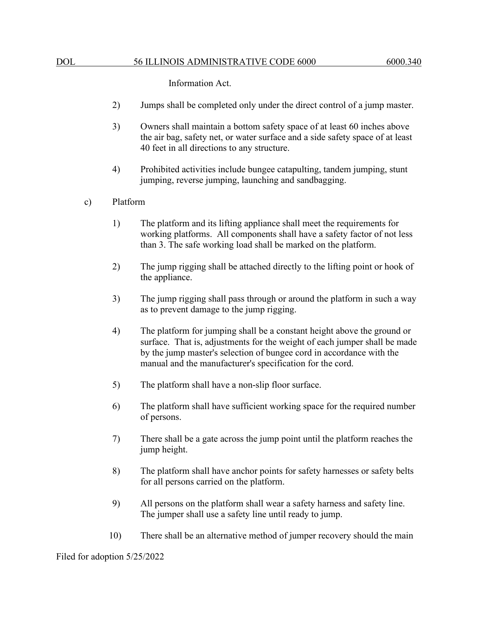Information Act.

- 2) Jumps shall be completed only under the direct control of a jump master.
- 3) Owners shall maintain a bottom safety space of at least 60 inches above the air bag, safety net, or water surface and a side safety space of at least 40 feet in all directions to any structure.
- 4) Prohibited activities include bungee catapulting, tandem jumping, stunt jumping, reverse jumping, launching and sandbagging.

## c) Platform

- 1) The platform and its lifting appliance shall meet the requirements for working platforms. All components shall have a safety factor of not less than 3. The safe working load shall be marked on the platform.
- 2) The jump rigging shall be attached directly to the lifting point or hook of the appliance.
- 3) The jump rigging shall pass through or around the platform in such a way as to prevent damage to the jump rigging.
- 4) The platform for jumping shall be a constant height above the ground or surface. That is, adjustments for the weight of each jumper shall be made by the jump master's selection of bungee cord in accordance with the manual and the manufacturer's specification for the cord.
- 5) The platform shall have a non-slip floor surface.
- 6) The platform shall have sufficient working space for the required number of persons.
- 7) There shall be a gate across the jump point until the platform reaches the jump height.
- 8) The platform shall have anchor points for safety harnesses or safety belts for all persons carried on the platform.
- 9) All persons on the platform shall wear a safety harness and safety line. The jumper shall use a safety line until ready to jump.
- 10) There shall be an alternative method of jumper recovery should the main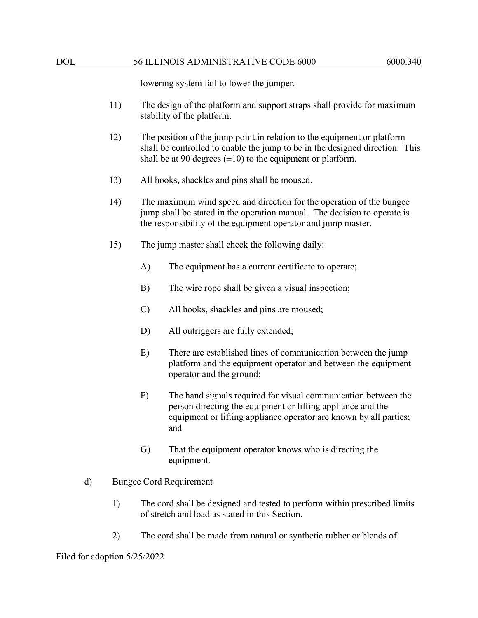lowering system fail to lower the jumper.

- 11) The design of the platform and support straps shall provide for maximum stability of the platform.
- 12) The position of the jump point in relation to the equipment or platform shall be controlled to enable the jump to be in the designed direction. This shall be at 90 degrees  $(\pm 10)$  to the equipment or platform.
- 13) All hooks, shackles and pins shall be moused.
- 14) The maximum wind speed and direction for the operation of the bungee jump shall be stated in the operation manual. The decision to operate is the responsibility of the equipment operator and jump master.
- 15) The jump master shall check the following daily:
	- A) The equipment has a current certificate to operate;
	- B) The wire rope shall be given a visual inspection;
	- C) All hooks, shackles and pins are moused;
	- D) All outriggers are fully extended;
	- E) There are established lines of communication between the jump platform and the equipment operator and between the equipment operator and the ground;
	- F) The hand signals required for visual communication between the person directing the equipment or lifting appliance and the equipment or lifting appliance operator are known by all parties; and
	- G) That the equipment operator knows who is directing the equipment.
- d) Bungee Cord Requirement
	- 1) The cord shall be designed and tested to perform within prescribed limits of stretch and load as stated in this Section.
	- 2) The cord shall be made from natural or synthetic rubber or blends of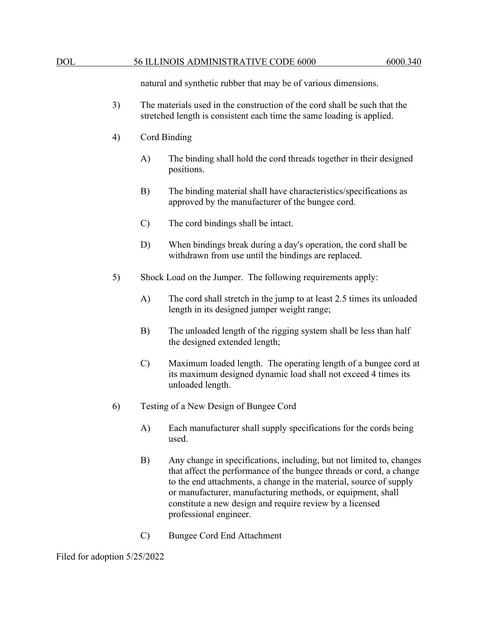natural and synthetic rubber that may be of various dimensions.

- 3) The materials used in the construction of the cord shall be such that the stretched length is consistent each time the same loading is applied.
- 4) Cord Binding
	- A) The binding shall hold the cord threads together in their designed positions.
	- B) The binding material shall have characteristics/specifications as approved by the manufacturer of the bungee cord.
	- C) The cord bindings shall be intact.
	- D) When bindings break during a day's operation, the cord shall be withdrawn from use until the bindings are replaced.
- 5) Shock Load on the Jumper. The following requirements apply:
	- A) The cord shall stretch in the jump to at least 2.5 times its unloaded length in its designed jumper weight range;
	- B) The unloaded length of the rigging system shall be less than half the designed extended length;
	- C) Maximum loaded length. The operating length of a bungee cord at its maximum designed dynamic load shall not exceed 4 times its unloaded length.
- 6) Testing of a New Design of Bungee Cord
	- A) Each manufacturer shall supply specifications for the cords being used.
	- B) Any change in specifications, including, but not limited to, changes that affect the performance of the bungee threads or cord, a change to the end attachments, a change in the material, source of supply or manufacturer, manufacturing methods, or equipment, shall constitute a new design and require review by a licensed professional engineer.
	- C) Bungee Cord End Attachment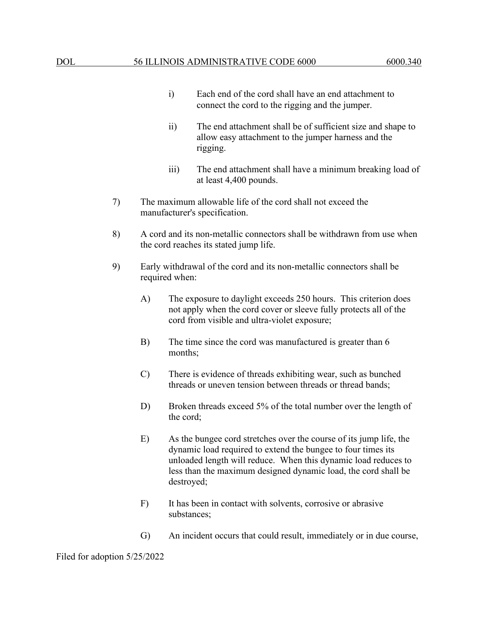- i) Each end of the cord shall have an end attachment to connect the cord to the rigging and the jumper.
- ii) The end attachment shall be of sufficient size and shape to allow easy attachment to the jumper harness and the rigging.
- iii) The end attachment shall have a minimum breaking load of at least 4,400 pounds.
- 7) The maximum allowable life of the cord shall not exceed the manufacturer's specification.
- 8) A cord and its non-metallic connectors shall be withdrawn from use when the cord reaches its stated jump life.
- 9) Early withdrawal of the cord and its non-metallic connectors shall be required when:
	- A) The exposure to daylight exceeds 250 hours. This criterion does not apply when the cord cover or sleeve fully protects all of the cord from visible and ultra-violet exposure;
	- B) The time since the cord was manufactured is greater than 6 months;
	- C) There is evidence of threads exhibiting wear, such as bunched threads or uneven tension between threads or thread bands;
	- D) Broken threads exceed 5% of the total number over the length of the cord;
	- E) As the bungee cord stretches over the course of its jump life, the dynamic load required to extend the bungee to four times its unloaded length will reduce. When this dynamic load reduces to less than the maximum designed dynamic load, the cord shall be destroyed;
	- F) It has been in contact with solvents, corrosive or abrasive substances;
	- G) An incident occurs that could result, immediately or in due course,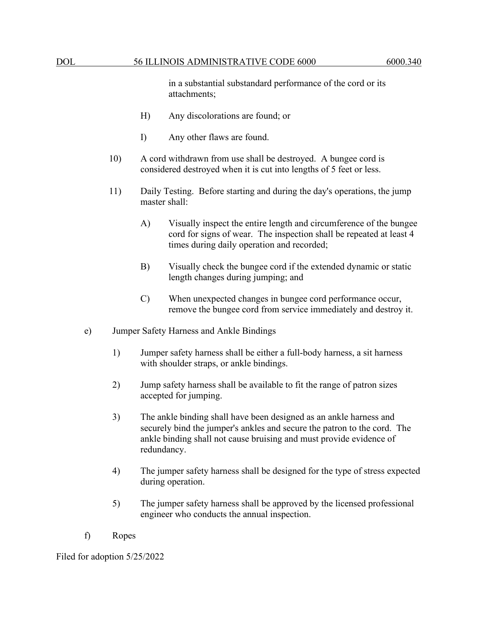in a substantial substandard performance of the cord or its attachments;

- H) Any discolorations are found; or
- I) Any other flaws are found.
- 10) A cord withdrawn from use shall be destroyed. A bungee cord is considered destroyed when it is cut into lengths of 5 feet or less.
- 11) Daily Testing. Before starting and during the day's operations, the jump master shall:
	- A) Visually inspect the entire length and circumference of the bungee cord for signs of wear. The inspection shall be repeated at least 4 times during daily operation and recorded;
	- B) Visually check the bungee cord if the extended dynamic or static length changes during jumping; and
	- C) When unexpected changes in bungee cord performance occur, remove the bungee cord from service immediately and destroy it.
- e) Jumper Safety Harness and Ankle Bindings
	- 1) Jumper safety harness shall be either a full-body harness, a sit harness with shoulder straps, or ankle bindings.
	- 2) Jump safety harness shall be available to fit the range of patron sizes accepted for jumping.
	- 3) The ankle binding shall have been designed as an ankle harness and securely bind the jumper's ankles and secure the patron to the cord. The ankle binding shall not cause bruising and must provide evidence of redundancy.
	- 4) The jumper safety harness shall be designed for the type of stress expected during operation.
	- 5) The jumper safety harness shall be approved by the licensed professional engineer who conducts the annual inspection.
- f) Ropes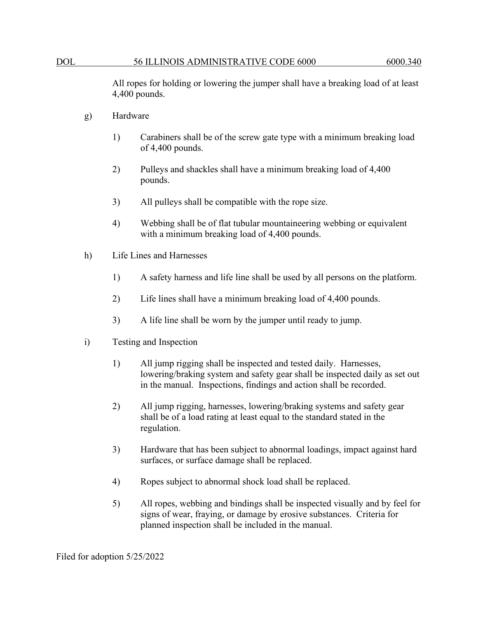All ropes for holding or lowering the jumper shall have a breaking load of at least 4,400 pounds.

- g) Hardware
	- 1) Carabiners shall be of the screw gate type with a minimum breaking load of 4,400 pounds.
	- 2) Pulleys and shackles shall have a minimum breaking load of 4,400 pounds.
	- 3) All pulleys shall be compatible with the rope size.
	- 4) Webbing shall be of flat tubular mountaineering webbing or equivalent with a minimum breaking load of 4,400 pounds.
- h) Life Lines and Harnesses
	- 1) A safety harness and life line shall be used by all persons on the platform.
	- 2) Life lines shall have a minimum breaking load of 4,400 pounds.
	- 3) A life line shall be worn by the jumper until ready to jump.
- i) Testing and Inspection
	- 1) All jump rigging shall be inspected and tested daily. Harnesses, lowering/braking system and safety gear shall be inspected daily as set out in the manual. Inspections, findings and action shall be recorded.
	- 2) All jump rigging, harnesses, lowering/braking systems and safety gear shall be of a load rating at least equal to the standard stated in the regulation.
	- 3) Hardware that has been subject to abnormal loadings, impact against hard surfaces, or surface damage shall be replaced.
	- 4) Ropes subject to abnormal shock load shall be replaced.
	- 5) All ropes, webbing and bindings shall be inspected visually and by feel for signs of wear, fraying, or damage by erosive substances. Criteria for planned inspection shall be included in the manual.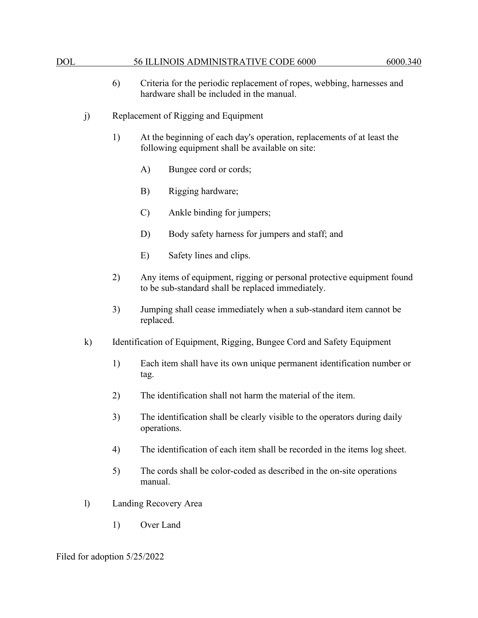- 6) Criteria for the periodic replacement of ropes, webbing, harnesses and hardware shall be included in the manual.
- j) Replacement of Rigging and Equipment
	- 1) At the beginning of each day's operation, replacements of at least the following equipment shall be available on site:
		- A) Bungee cord or cords;
		- B) Rigging hardware;
		- C) Ankle binding for jumpers;
		- D) Body safety harness for jumpers and staff; and
		- E) Safety lines and clips.
	- 2) Any items of equipment, rigging or personal protective equipment found to be sub-standard shall be replaced immediately.
	- 3) Jumping shall cease immediately when a sub-standard item cannot be replaced.
- k) Identification of Equipment, Rigging, Bungee Cord and Safety Equipment
	- 1) Each item shall have its own unique permanent identification number or tag.
	- 2) The identification shall not harm the material of the item.
	- 3) The identification shall be clearly visible to the operators during daily operations.
	- 4) The identification of each item shall be recorded in the items log sheet.
	- 5) The cords shall be color-coded as described in the on-site operations manual.
- l) Landing Recovery Area
	- 1) Over Land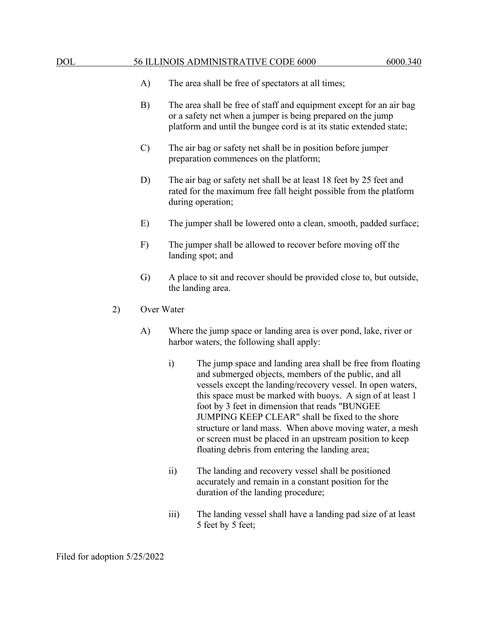- A) The area shall be free of spectators at all times;
- B) The area shall be free of staff and equipment except for an air bag or a safety net when a jumper is being prepared on the jump platform and until the bungee cord is at its static extended state;
- C) The air bag or safety net shall be in position before jumper preparation commences on the platform;
- D) The air bag or safety net shall be at least 18 feet by 25 feet and rated for the maximum free fall height possible from the platform during operation;
- E) The jumper shall be lowered onto a clean, smooth, padded surface;
- F) The jumper shall be allowed to recover before moving off the landing spot; and
- G) A place to sit and recover should be provided close to, but outside, the landing area.
- 2) Over Water
	- A) Where the jump space or landing area is over pond, lake, river or harbor waters, the following shall apply:
		- i) The jump space and landing area shall be free from floating and submerged objects, members of the public, and all vessels except the landing/recovery vessel. In open waters, this space must be marked with buoys. A sign of at least 1 foot by 3 feet in dimension that reads "BUNGEE JUMPING KEEP CLEAR" shall be fixed to the shore structure or land mass. When above moving water, a mesh or screen must be placed in an upstream position to keep floating debris from entering the landing area;
		- ii) The landing and recovery vessel shall be positioned accurately and remain in a constant position for the duration of the landing procedure;
		- iii) The landing vessel shall have a landing pad size of at least 5 feet by 5 feet;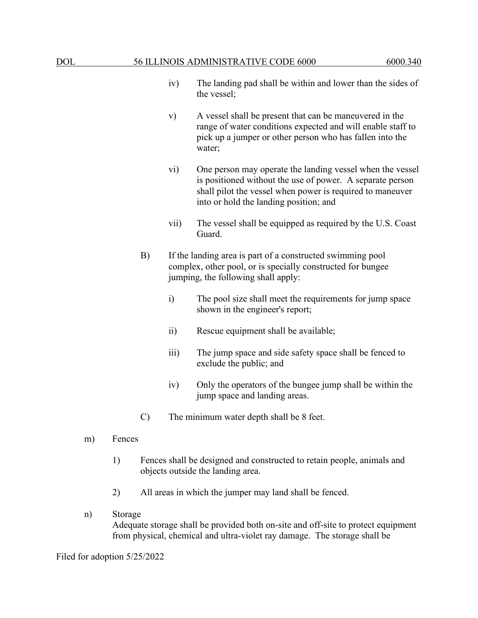- iv) The landing pad shall be within and lower than the sides of the vessel;
- v) A vessel shall be present that can be maneuvered in the range of water conditions expected and will enable staff to pick up a jumper or other person who has fallen into the water;
- vi) One person may operate the landing vessel when the vessel is positioned without the use of power. A separate person shall pilot the vessel when power is required to maneuver into or hold the landing position; and
- vii) The vessel shall be equipped as required by the U.S. Coast Guard.
- B) If the landing area is part of a constructed swimming pool complex, other pool, or is specially constructed for bungee jumping, the following shall apply:
	- i) The pool size shall meet the requirements for jump space shown in the engineer's report;
	- ii) Rescue equipment shall be available;
	- iii) The jump space and side safety space shall be fenced to exclude the public; and
	- iv) Only the operators of the bungee jump shall be within the jump space and landing areas.
- C) The minimum water depth shall be 8 feet.
- m) Fences
	- 1) Fences shall be designed and constructed to retain people, animals and objects outside the landing area.
	- 2) All areas in which the jumper may land shall be fenced.
- n) Storage Adequate storage shall be provided both on-site and off-site to protect equipment from physical, chemical and ultra-violet ray damage. The storage shall be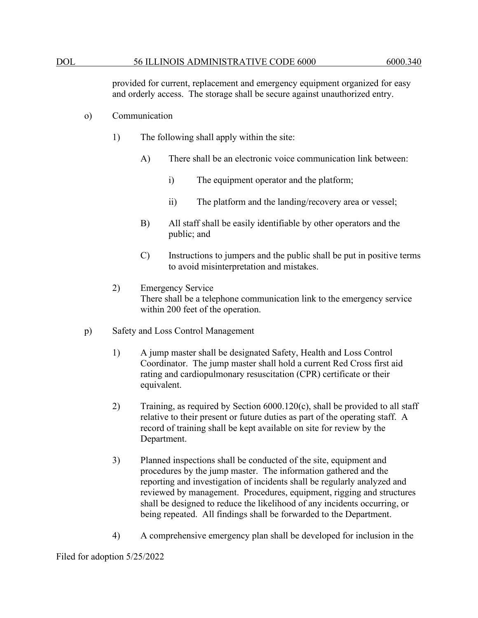provided for current, replacement and emergency equipment organized for easy and orderly access. The storage shall be secure against unauthorized entry.

- o) Communication
	- 1) The following shall apply within the site:
		- A) There shall be an electronic voice communication link between:
			- i) The equipment operator and the platform;
			- ii) The platform and the landing/recovery area or vessel;
		- B) All staff shall be easily identifiable by other operators and the public; and
		- C) Instructions to jumpers and the public shall be put in positive terms to avoid misinterpretation and mistakes.
	- 2) Emergency Service There shall be a telephone communication link to the emergency service within 200 feet of the operation.
- p) Safety and Loss Control Management
	- 1) A jump master shall be designated Safety, Health and Loss Control Coordinator. The jump master shall hold a current Red Cross first aid rating and cardiopulmonary resuscitation (CPR) certificate or their equivalent.
	- 2) Training, as required by Section 6000.120(c), shall be provided to all staff relative to their present or future duties as part of the operating staff. A record of training shall be kept available on site for review by the Department.
	- 3) Planned inspections shall be conducted of the site, equipment and procedures by the jump master. The information gathered and the reporting and investigation of incidents shall be regularly analyzed and reviewed by management. Procedures, equipment, rigging and structures shall be designed to reduce the likelihood of any incidents occurring, or being repeated. All findings shall be forwarded to the Department.
	- 4) A comprehensive emergency plan shall be developed for inclusion in the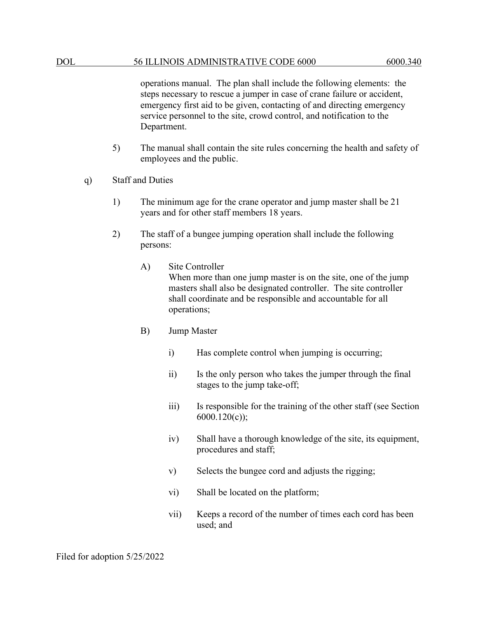operations manual. The plan shall include the following elements: the steps necessary to rescue a jumper in case of crane failure or accident, emergency first aid to be given, contacting of and directing emergency service personnel to the site, crowd control, and notification to the Department.

- 5) The manual shall contain the site rules concerning the health and safety of employees and the public.
- q) Staff and Duties
	- 1) The minimum age for the crane operator and jump master shall be 21 years and for other staff members 18 years.
	- 2) The staff of a bungee jumping operation shall include the following persons:
		- A) Site Controller

When more than one jump master is on the site, one of the jump masters shall also be designated controller. The site controller shall coordinate and be responsible and accountable for all operations;

- B) Jump Master
	- i) Has complete control when jumping is occurring;
	- ii) Is the only person who takes the jumper through the final stages to the jump take-off;
	- iii) Is responsible for the training of the other staff (see Section 6000.120(c));
	- iv) Shall have a thorough knowledge of the site, its equipment, procedures and staff;
	- v) Selects the bungee cord and adjusts the rigging;
	- vi) Shall be located on the platform;
	- vii) Keeps a record of the number of times each cord has been used; and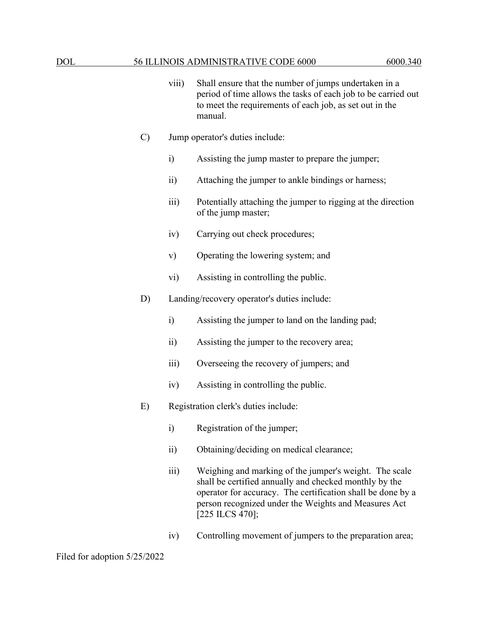- viii) Shall ensure that the number of jumps undertaken in a period of time allows the tasks of each job to be carried out to meet the requirements of each job, as set out in the manual.
- C) Jump operator's duties include:
	- i) Assisting the jump master to prepare the jumper;
	- ii) Attaching the jumper to ankle bindings or harness;
	- iii) Potentially attaching the jumper to rigging at the direction of the jump master;
	- iv) Carrying out check procedures;
	- v) Operating the lowering system; and
	- vi) Assisting in controlling the public.
- D) Landing/recovery operator's duties include:
	- i) Assisting the jumper to land on the landing pad;
	- ii) Assisting the jumper to the recovery area;
	- iii) Overseeing the recovery of jumpers; and
	- iv) Assisting in controlling the public.
- E) Registration clerk's duties include:
	- i) Registration of the jumper;
	- ii) Obtaining/deciding on medical clearance;
	- iii) Weighing and marking of the jumper's weight. The scale shall be certified annually and checked monthly by the operator for accuracy. The certification shall be done by a person recognized under the Weights and Measures Act [225 ILCS 470];
	- iv) Controlling movement of jumpers to the preparation area;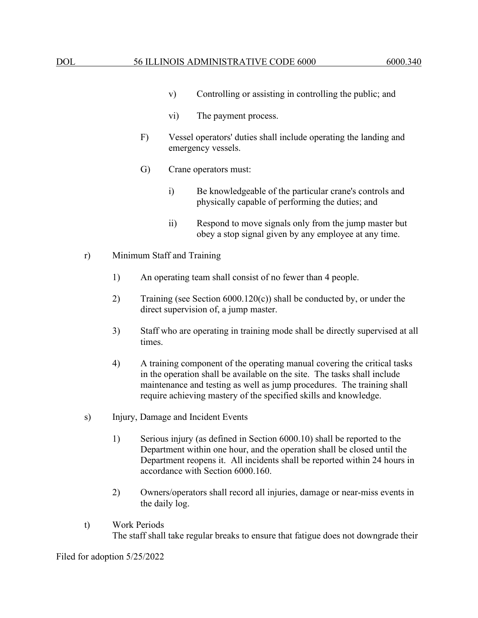- v) Controlling or assisting in controlling the public; and
- vi) The payment process.
- F) Vessel operators' duties shall include operating the landing and emergency vessels.
- G) Crane operators must:
	- i) Be knowledgeable of the particular crane's controls and physically capable of performing the duties; and
	- ii) Respond to move signals only from the jump master but obey a stop signal given by any employee at any time.
- r) Minimum Staff and Training
	- 1) An operating team shall consist of no fewer than 4 people.
	- 2) Training (see Section 6000.120(c)) shall be conducted by, or under the direct supervision of, a jump master.
	- 3) Staff who are operating in training mode shall be directly supervised at all times.
	- 4) A training component of the operating manual covering the critical tasks in the operation shall be available on the site. The tasks shall include maintenance and testing as well as jump procedures. The training shall require achieving mastery of the specified skills and knowledge.
- s) Injury, Damage and Incident Events
	- 1) Serious injury (as defined in Section 6000.10) shall be reported to the Department within one hour, and the operation shall be closed until the Department reopens it. All incidents shall be reported within 24 hours in accordance with Section 6000.160.
	- 2) Owners/operators shall record all injuries, damage or near-miss events in the daily log.
- t) Work Periods The staff shall take regular breaks to ensure that fatigue does not downgrade their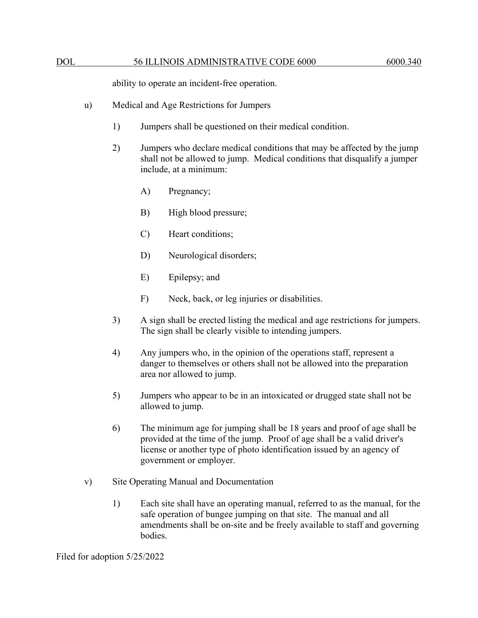ability to operate an incident-free operation.

- u) Medical and Age Restrictions for Jumpers
	- 1) Jumpers shall be questioned on their medical condition.
	- 2) Jumpers who declare medical conditions that may be affected by the jump shall not be allowed to jump. Medical conditions that disqualify a jumper include, at a minimum:
		- A) Pregnancy;
		- B) High blood pressure;
		- C) Heart conditions;
		- D) Neurological disorders;
		- E) Epilepsy; and
		- F) Neck, back, or leg injuries or disabilities.
	- 3) A sign shall be erected listing the medical and age restrictions for jumpers. The sign shall be clearly visible to intending jumpers.
	- 4) Any jumpers who, in the opinion of the operations staff, represent a danger to themselves or others shall not be allowed into the preparation area nor allowed to jump.
	- 5) Jumpers who appear to be in an intoxicated or drugged state shall not be allowed to jump.
	- 6) The minimum age for jumping shall be 18 years and proof of age shall be provided at the time of the jump. Proof of age shall be a valid driver's license or another type of photo identification issued by an agency of government or employer.
- v) Site Operating Manual and Documentation
	- 1) Each site shall have an operating manual, referred to as the manual, for the safe operation of bungee jumping on that site. The manual and all amendments shall be on-site and be freely available to staff and governing bodies.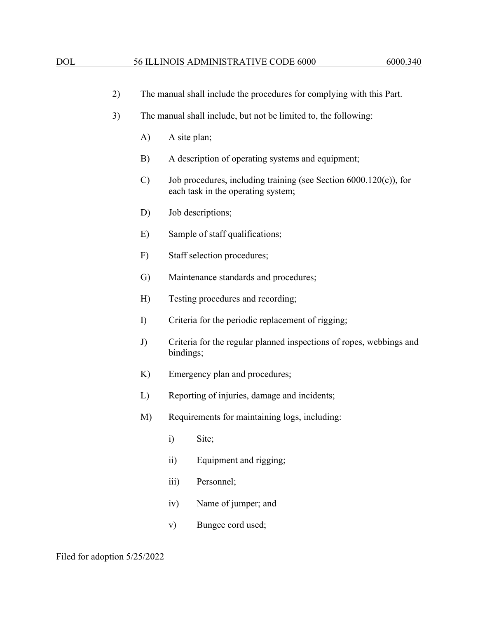|                                            | 2) |                                                     | The manual shall include the procedures for complying with this Part. |                                                                                                            |  |  |
|--------------------------------------------|----|-----------------------------------------------------|-----------------------------------------------------------------------|------------------------------------------------------------------------------------------------------------|--|--|
|                                            | 3) |                                                     | The manual shall include, but not be limited to, the following:       |                                                                                                            |  |  |
|                                            |    | A)                                                  | A site plan;                                                          |                                                                                                            |  |  |
|                                            |    | B)                                                  |                                                                       | A description of operating systems and equipment;                                                          |  |  |
|                                            |    | $\mathcal{C}$                                       |                                                                       | Job procedures, including training (see Section $6000.120(c)$ ), for<br>each task in the operating system; |  |  |
|                                            |    | D)                                                  |                                                                       | Job descriptions;                                                                                          |  |  |
|                                            |    | E)                                                  |                                                                       | Sample of staff qualifications;                                                                            |  |  |
|                                            |    | F)                                                  |                                                                       | Staff selection procedures;                                                                                |  |  |
|                                            |    | G)                                                  |                                                                       | Maintenance standards and procedures;                                                                      |  |  |
| Testing procedures and recording;<br>H)    |    |                                                     |                                                                       |                                                                                                            |  |  |
|                                            |    | $\Gamma$                                            |                                                                       | Criteria for the periodic replacement of rigging;                                                          |  |  |
|                                            |    | J)                                                  | bindings;                                                             | Criteria for the regular planned inspections of ropes, webbings and                                        |  |  |
| K)<br>Emergency plan and procedures;<br>L) |    |                                                     |                                                                       |                                                                                                            |  |  |
|                                            |    |                                                     |                                                                       | Reporting of injuries, damage and incidents;                                                               |  |  |
|                                            |    | Requirements for maintaining logs, including:<br>M) |                                                                       |                                                                                                            |  |  |
|                                            |    |                                                     | i) Site;                                                              |                                                                                                            |  |  |
|                                            |    |                                                     | $\overline{ii}$ )                                                     | Equipment and rigging;                                                                                     |  |  |
|                                            |    |                                                     | iii)                                                                  | Personnel;                                                                                                 |  |  |
|                                            |    |                                                     | iv)                                                                   | Name of jumper; and                                                                                        |  |  |
|                                            |    |                                                     | $\mathbf{v})$                                                         | Bungee cord used;                                                                                          |  |  |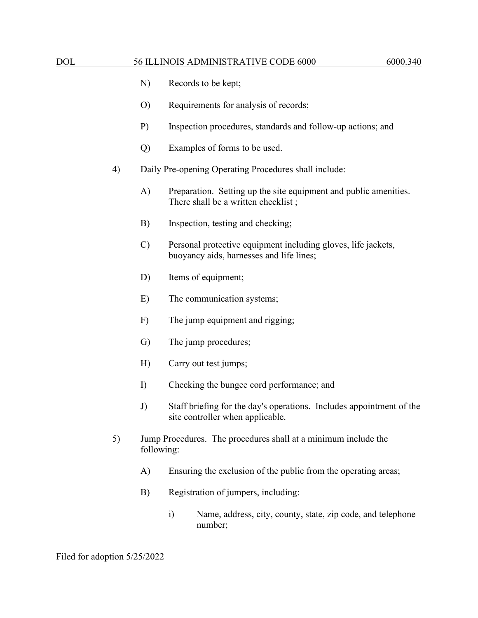- N) Records to be kept;
- O) Requirements for analysis of records;
- P) Inspection procedures, standards and follow-up actions; and
- Q) Examples of forms to be used.
- 4) Daily Pre-opening Operating Procedures shall include:
	- A) Preparation. Setting up the site equipment and public amenities. There shall be a written checklist ;
	- B) Inspection, testing and checking;
	- C) Personal protective equipment including gloves, life jackets, buoyancy aids, harnesses and life lines;
	- D) Items of equipment;
	- E) The communication systems;
	- F) The jump equipment and rigging;
	- G) The jump procedures;
	- H) Carry out test jumps;
	- I) Checking the bungee cord performance; and
	- J) Staff briefing for the day's operations. Includes appointment of the site controller when applicable.
- 5) Jump Procedures. The procedures shall at a minimum include the following:
	- A) Ensuring the exclusion of the public from the operating areas;
	- B) Registration of jumpers, including:
		- i) Name, address, city, county, state, zip code, and telephone number;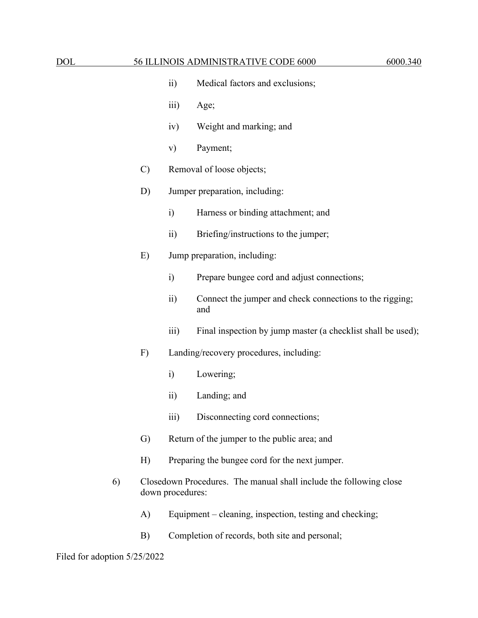- ii) Medical factors and exclusions;
- iii) Age;
- iv) Weight and marking; and
- v) Payment;
- C) Removal of loose objects;

### D) Jumper preparation, including:

- i) Harness or binding attachment; and
- ii) Briefing/instructions to the jumper;

#### E) Jump preparation, including:

- i) Prepare bungee cord and adjust connections;
- ii) Connect the jumper and check connections to the rigging; and
- iii) Final inspection by jump master (a checklist shall be used);
- F) Landing/recovery procedures, including:
	- i) Lowering;
	- ii) Landing; and
	- iii) Disconnecting cord connections;
- G) Return of the jumper to the public area; and
- H) Preparing the bungee cord for the next jumper.
- 6) Closedown Procedures. The manual shall include the following close down procedures:
	- A) Equipment cleaning, inspection, testing and checking;
	- B) Completion of records, both site and personal;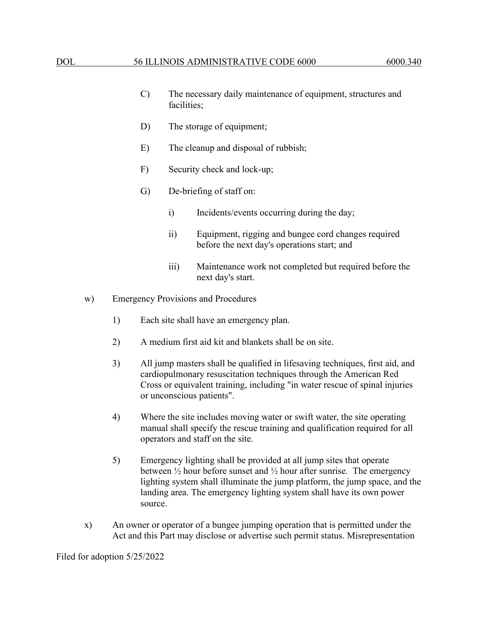- C) The necessary daily maintenance of equipment, structures and facilities;
- D) The storage of equipment;
- E) The cleanup and disposal of rubbish;
- F) Security check and lock-up;
- G) De-briefing of staff on:
	- i) Incidents/events occurring during the day;
	- ii) Equipment, rigging and bungee cord changes required before the next day's operations start; and
	- iii) Maintenance work not completed but required before the next day's start.
- w) Emergency Provisions and Procedures
	- 1) Each site shall have an emergency plan.
	- 2) A medium first aid kit and blankets shall be on site.
	- 3) All jump masters shall be qualified in lifesaving techniques, first aid, and cardiopulmonary resuscitation techniques through the American Red Cross or equivalent training, including "in water rescue of spinal injuries or unconscious patients".
	- 4) Where the site includes moving water or swift water, the site operating manual shall specify the rescue training and qualification required for all operators and staff on the site.
	- 5) Emergency lighting shall be provided at all jump sites that operate between  $\frac{1}{2}$  hour before sunset and  $\frac{1}{2}$  hour after sunrise. The emergency lighting system shall illuminate the jump platform, the jump space, and the landing area. The emergency lighting system shall have its own power source.
- x) An owner or operator of a bungee jumping operation that is permitted under the Act and this Part may disclose or advertise such permit status. Misrepresentation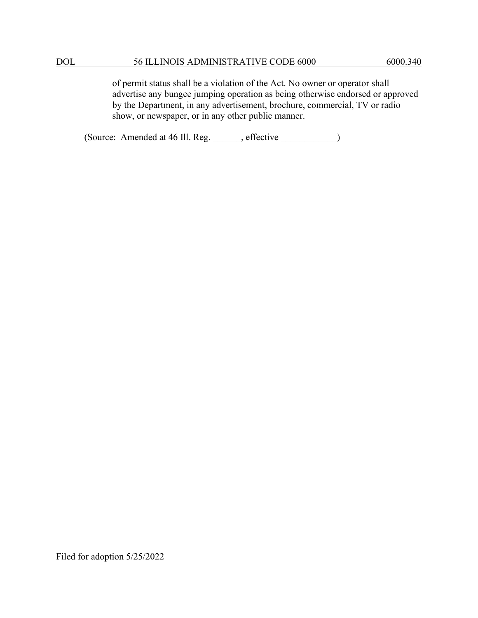of permit status shall be a violation of the Act. No owner or operator shall advertise any bungee jumping operation as being otherwise endorsed or approved by the Department, in any advertisement, brochure, commercial, TV or radio show, or newspaper, or in any other public manner.

(Source: Amended at 46 Ill. Reg. \_\_\_\_\_\_, effective \_\_\_\_\_\_\_\_\_\_\_\_)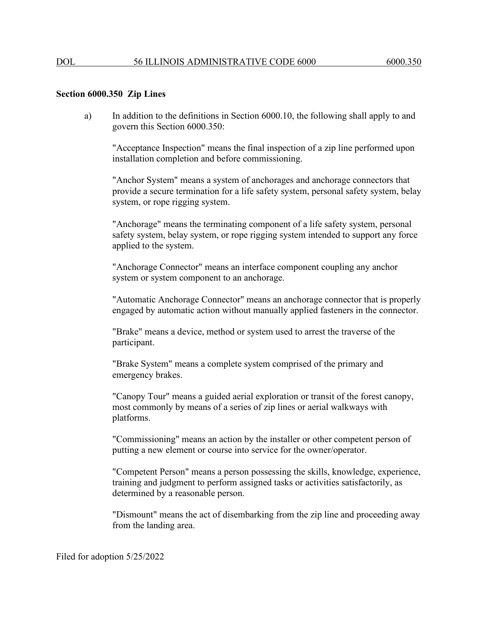### **Section 6000.350 Zip Lines**

a) In addition to the definitions in Section 6000.10, the following shall apply to and govern this Section 6000.350:

"Acceptance Inspection" means the final inspection of a zip line performed upon installation completion and before commissioning.

"Anchor System" means a system of anchorages and anchorage connectors that provide a secure termination for a life safety system, personal safety system, belay system, or rope rigging system.

"Anchorage" means the terminating component of a life safety system, personal safety system, belay system, or rope rigging system intended to support any force applied to the system.

"Anchorage Connector" means an interface component coupling any anchor system or system component to an anchorage.

"Automatic Anchorage Connector" means an anchorage connector that is properly engaged by automatic action without manually applied fasteners in the connector.

"Brake" means a device, method or system used to arrest the traverse of the participant.

"Brake System" means a complete system comprised of the primary and emergency brakes.

"Canopy Tour" means a guided aerial exploration or transit of the forest canopy, most commonly by means of a series of zip lines or aerial walkways with platforms.

"Commissioning" means an action by the installer or other competent person of putting a new element or course into service for the owner/operator.

"Competent Person" means a person possessing the skills, knowledge, experience, training and judgment to perform assigned tasks or activities satisfactorily, as determined by a reasonable person.

"Dismount" means the act of disembarking from the zip line and proceeding away from the landing area.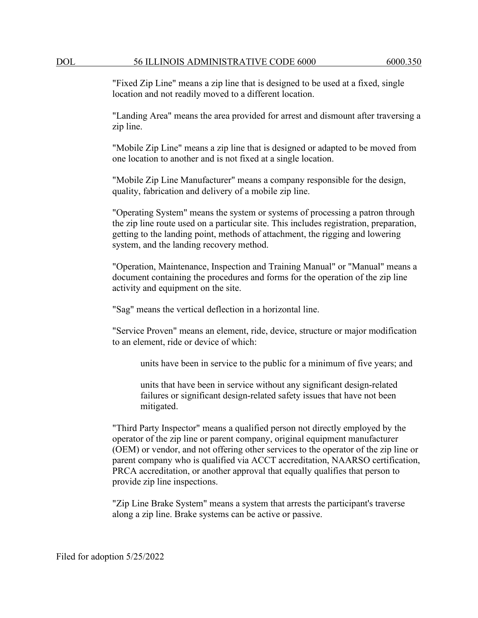"Fixed Zip Line" means a zip line that is designed to be used at a fixed, single location and not readily moved to a different location.

"Landing Area" means the area provided for arrest and dismount after traversing a zip line.

"Mobile Zip Line" means a zip line that is designed or adapted to be moved from one location to another and is not fixed at a single location.

"Mobile Zip Line Manufacturer" means a company responsible for the design, quality, fabrication and delivery of a mobile zip line.

"Operating System" means the system or systems of processing a patron through the zip line route used on a particular site. This includes registration, preparation, getting to the landing point, methods of attachment, the rigging and lowering system, and the landing recovery method.

"Operation, Maintenance, Inspection and Training Manual" or "Manual" means a document containing the procedures and forms for the operation of the zip line activity and equipment on the site.

"Sag" means the vertical deflection in a horizontal line.

"Service Proven" means an element, ride, device, structure or major modification to an element, ride or device of which:

units have been in service to the public for a minimum of five years; and

units that have been in service without any significant design-related failures or significant design-related safety issues that have not been mitigated.

"Third Party Inspector" means a qualified person not directly employed by the operator of the zip line or parent company, original equipment manufacturer (OEM) or vendor, and not offering other services to the operator of the zip line or parent company who is qualified via ACCT accreditation, NAARSO certification, PRCA accreditation, or another approval that equally qualifies that person to provide zip line inspections.

"Zip Line Brake System" means a system that arrests the participant's traverse along a zip line. Brake systems can be active or passive.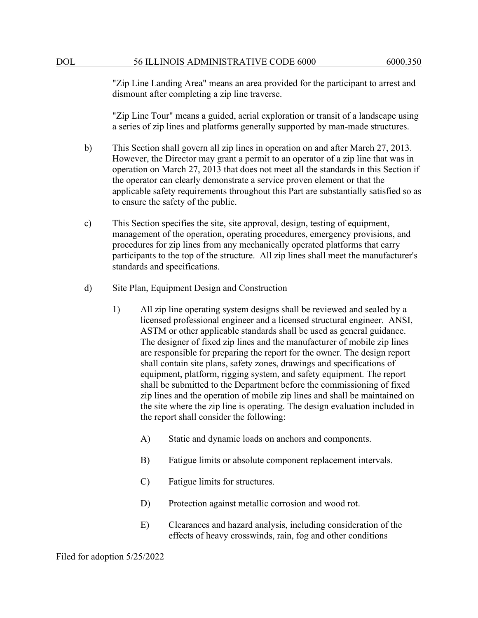"Zip Line Landing Area" means an area provided for the participant to arrest and dismount after completing a zip line traverse.

"Zip Line Tour" means a guided, aerial exploration or transit of a landscape using a series of zip lines and platforms generally supported by man-made structures.

- b) This Section shall govern all zip lines in operation on and after March 27, 2013. However, the Director may grant a permit to an operator of a zip line that was in operation on March 27, 2013 that does not meet all the standards in this Section if the operator can clearly demonstrate a service proven element or that the applicable safety requirements throughout this Part are substantially satisfied so as to ensure the safety of the public.
- c) This Section specifies the site, site approval, design, testing of equipment, management of the operation, operating procedures, emergency provisions, and procedures for zip lines from any mechanically operated platforms that carry participants to the top of the structure. All zip lines shall meet the manufacturer's standards and specifications.
- d) Site Plan, Equipment Design and Construction
	- 1) All zip line operating system designs shall be reviewed and sealed by a licensed professional engineer and a licensed structural engineer. ANSI, ASTM or other applicable standards shall be used as general guidance. The designer of fixed zip lines and the manufacturer of mobile zip lines are responsible for preparing the report for the owner. The design report shall contain site plans, safety zones, drawings and specifications of equipment, platform, rigging system, and safety equipment. The report shall be submitted to the Department before the commissioning of fixed zip lines and the operation of mobile zip lines and shall be maintained on the site where the zip line is operating. The design evaluation included in the report shall consider the following:
		- A) Static and dynamic loads on anchors and components.
		- B) Fatigue limits or absolute component replacement intervals.
		- C) Fatigue limits for structures.
		- D) Protection against metallic corrosion and wood rot.
		- E) Clearances and hazard analysis, including consideration of the effects of heavy crosswinds, rain, fog and other conditions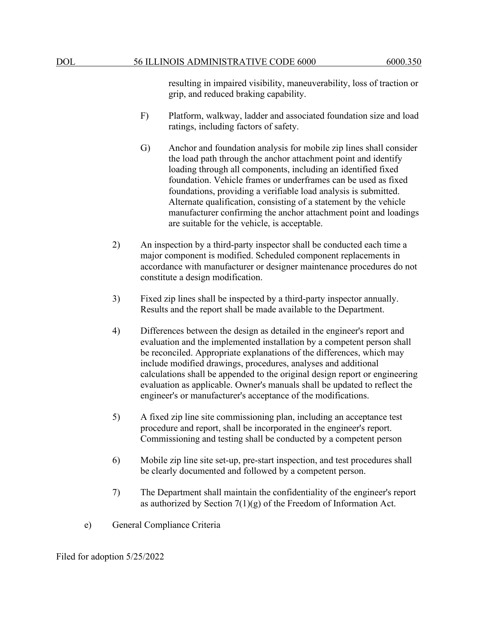resulting in impaired visibility, maneuverability, loss of traction or grip, and reduced braking capability.

- F) Platform, walkway, ladder and associated foundation size and load ratings, including factors of safety.
- G) Anchor and foundation analysis for mobile zip lines shall consider the load path through the anchor attachment point and identify loading through all components, including an identified fixed foundation. Vehicle frames or underframes can be used as fixed foundations, providing a verifiable load analysis is submitted. Alternate qualification, consisting of a statement by the vehicle manufacturer confirming the anchor attachment point and loadings are suitable for the vehicle, is acceptable.
- 2) An inspection by a third-party inspector shall be conducted each time a major component is modified. Scheduled component replacements in accordance with manufacturer or designer maintenance procedures do not constitute a design modification.
- 3) Fixed zip lines shall be inspected by a third-party inspector annually. Results and the report shall be made available to the Department.
- 4) Differences between the design as detailed in the engineer's report and evaluation and the implemented installation by a competent person shall be reconciled. Appropriate explanations of the differences, which may include modified drawings, procedures, analyses and additional calculations shall be appended to the original design report or engineering evaluation as applicable. Owner's manuals shall be updated to reflect the engineer's or manufacturer's acceptance of the modifications.
- 5) A fixed zip line site commissioning plan, including an acceptance test procedure and report, shall be incorporated in the engineer's report. Commissioning and testing shall be conducted by a competent person
- 6) Mobile zip line site set-up, pre-start inspection, and test procedures shall be clearly documented and followed by a competent person.
- 7) The Department shall maintain the confidentiality of the engineer's report as authorized by Section  $7(1)(g)$  of the Freedom of Information Act.
- e) General Compliance Criteria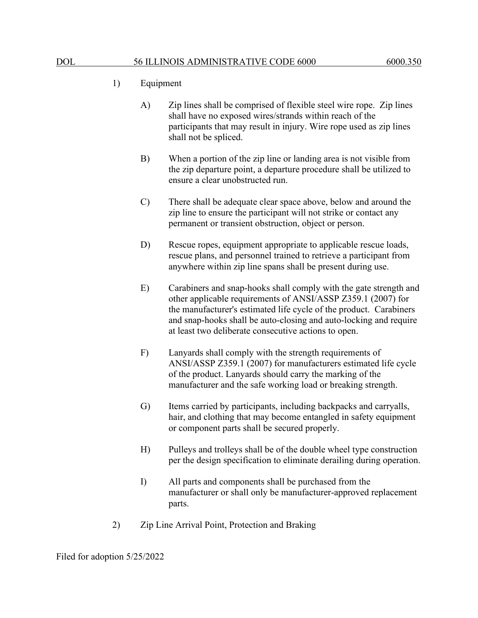- 1) Equipment
	- A) Zip lines shall be comprised of flexible steel wire rope. Zip lines shall have no exposed wires/strands within reach of the participants that may result in injury. Wire rope used as zip lines shall not be spliced.
	- B) When a portion of the zip line or landing area is not visible from the zip departure point, a departure procedure shall be utilized to ensure a clear unobstructed run.
	- C) There shall be adequate clear space above, below and around the zip line to ensure the participant will not strike or contact any permanent or transient obstruction, object or person.
	- D) Rescue ropes, equipment appropriate to applicable rescue loads, rescue plans, and personnel trained to retrieve a participant from anywhere within zip line spans shall be present during use.
	- E) Carabiners and snap-hooks shall comply with the gate strength and other applicable requirements of ANSI/ASSP Z359.1 (2007) for the manufacturer's estimated life cycle of the product. Carabiners and snap-hooks shall be auto-closing and auto-locking and require at least two deliberate consecutive actions to open.
	- F) Lanyards shall comply with the strength requirements of ANSI/ASSP Z359.1 (2007) for manufacturers estimated life cycle of the product. Lanyards should carry the marking of the manufacturer and the safe working load or breaking strength.
	- G) Items carried by participants, including backpacks and carryalls, hair, and clothing that may become entangled in safety equipment or component parts shall be secured properly.
	- H) Pulleys and trolleys shall be of the double wheel type construction per the design specification to eliminate derailing during operation.
	- I) All parts and components shall be purchased from the manufacturer or shall only be manufacturer-approved replacement parts.
- 2) Zip Line Arrival Point, Protection and Braking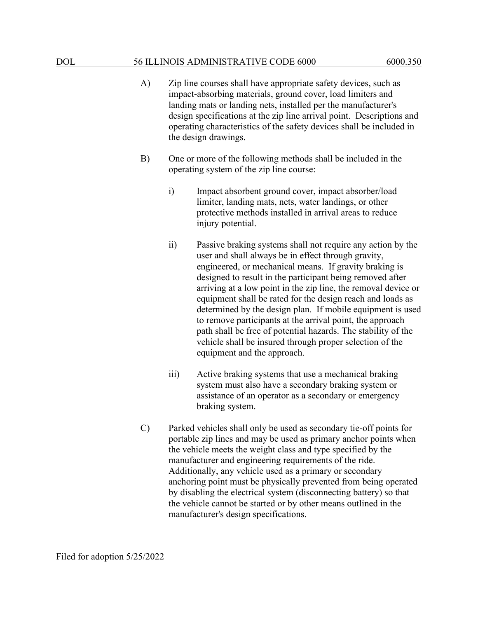- A) Zip line courses shall have appropriate safety devices, such as impact-absorbing materials, ground cover, load limiters and landing mats or landing nets, installed per the manufacturer's design specifications at the zip line arrival point. Descriptions and operating characteristics of the safety devices shall be included in the design drawings.
- B) One or more of the following methods shall be included in the operating system of the zip line course:
	- i) Impact absorbent ground cover, impact absorber/load limiter, landing mats, nets, water landings, or other protective methods installed in arrival areas to reduce injury potential.
	- ii) Passive braking systems shall not require any action by the user and shall always be in effect through gravity, engineered, or mechanical means. If gravity braking is designed to result in the participant being removed after arriving at a low point in the zip line, the removal device or equipment shall be rated for the design reach and loads as determined by the design plan. If mobile equipment is used to remove participants at the arrival point, the approach path shall be free of potential hazards. The stability of the vehicle shall be insured through proper selection of the equipment and the approach.
	- iii) Active braking systems that use a mechanical braking system must also have a secondary braking system or assistance of an operator as a secondary or emergency braking system.
- C) Parked vehicles shall only be used as secondary tie-off points for portable zip lines and may be used as primary anchor points when the vehicle meets the weight class and type specified by the manufacturer and engineering requirements of the ride. Additionally, any vehicle used as a primary or secondary anchoring point must be physically prevented from being operated by disabling the electrical system (disconnecting battery) so that the vehicle cannot be started or by other means outlined in the manufacturer's design specifications.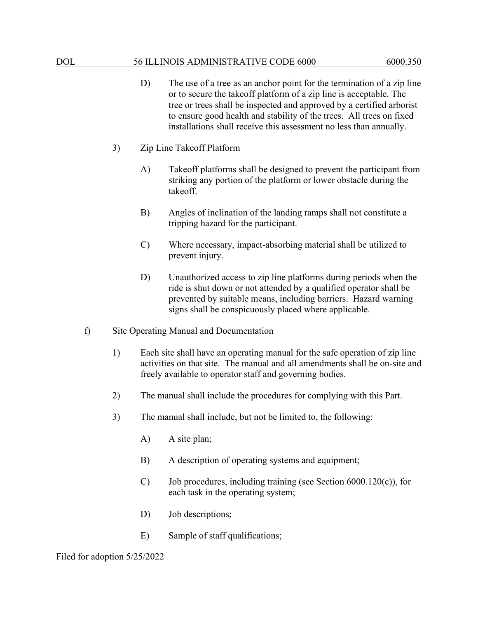- D) The use of a tree as an anchor point for the termination of a zip line or to secure the takeoff platform of a zip line is acceptable. The tree or trees shall be inspected and approved by a certified arborist to ensure good health and stability of the trees. All trees on fixed installations shall receive this assessment no less than annually.
- 3) Zip Line Takeoff Platform
	- A) Takeoff platforms shall be designed to prevent the participant from striking any portion of the platform or lower obstacle during the takeoff.
	- B) Angles of inclination of the landing ramps shall not constitute a tripping hazard for the participant.
	- C) Where necessary, impact-absorbing material shall be utilized to prevent injury.
	- D) Unauthorized access to zip line platforms during periods when the ride is shut down or not attended by a qualified operator shall be prevented by suitable means, including barriers. Hazard warning signs shall be conspicuously placed where applicable.
- f) Site Operating Manual and Documentation
	- 1) Each site shall have an operating manual for the safe operation of zip line activities on that site. The manual and all amendments shall be on-site and freely available to operator staff and governing bodies.
	- 2) The manual shall include the procedures for complying with this Part.
	- 3) The manual shall include, but not be limited to, the following:
		- A) A site plan;
		- B) A description of operating systems and equipment;
		- C) Job procedures, including training (see Section 6000.120(c)), for each task in the operating system;
		- D) Job descriptions;
		- E) Sample of staff qualifications;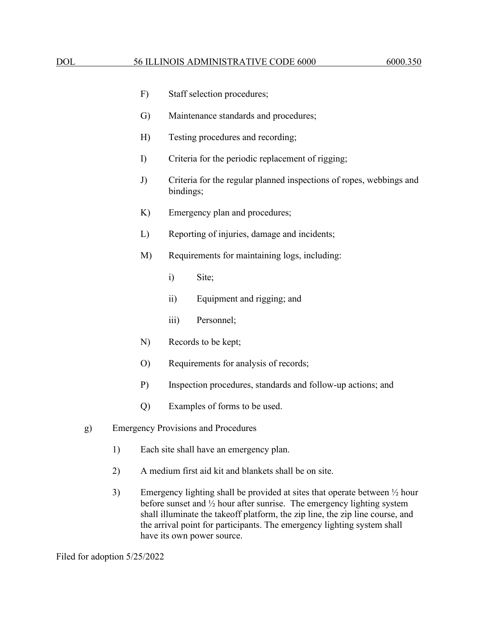|                                                  |    | F)                                      | Staff selection procedures;                                                      |  |  |  |
|--------------------------------------------------|----|-----------------------------------------|----------------------------------------------------------------------------------|--|--|--|
|                                                  |    | G)                                      | Maintenance standards and procedures;                                            |  |  |  |
|                                                  |    | H)                                      | Testing procedures and recording;                                                |  |  |  |
|                                                  |    | I)                                      | Criteria for the periodic replacement of rigging;                                |  |  |  |
|                                                  |    | J)                                      | Criteria for the regular planned inspections of ropes, webbings and<br>bindings; |  |  |  |
|                                                  |    | K)                                      | Emergency plan and procedures;                                                   |  |  |  |
|                                                  |    | L)                                      | Reporting of injuries, damage and incidents;                                     |  |  |  |
|                                                  |    | M)                                      | Requirements for maintaining logs, including:                                    |  |  |  |
|                                                  |    |                                         | Site;<br>$\ddot{i}$                                                              |  |  |  |
|                                                  |    |                                         | $\ddot{\text{1}}$<br>Equipment and rigging; and                                  |  |  |  |
|                                                  |    |                                         | Personnel;<br>$\overline{iii}$                                                   |  |  |  |
|                                                  |    | N)                                      | Records to be kept;                                                              |  |  |  |
|                                                  |    | O                                       | Requirements for analysis of records;                                            |  |  |  |
|                                                  |    | $P$ )                                   | Inspection procedures, standards and follow-up actions; and                      |  |  |  |
|                                                  |    | Q)                                      | Examples of forms to be used.                                                    |  |  |  |
| <b>Emergency Provisions and Procedures</b><br>g) |    |                                         |                                                                                  |  |  |  |
|                                                  | 1) | Each site shall have an emergency plan. |                                                                                  |  |  |  |

- 2) A medium first aid kit and blankets shall be on site.
- 3) Emergency lighting shall be provided at sites that operate between ½ hour before sunset and ½ hour after sunrise. The emergency lighting system shall illuminate the takeoff platform, the zip line, the zip line course, and the arrival point for participants. The emergency lighting system shall have its own power source.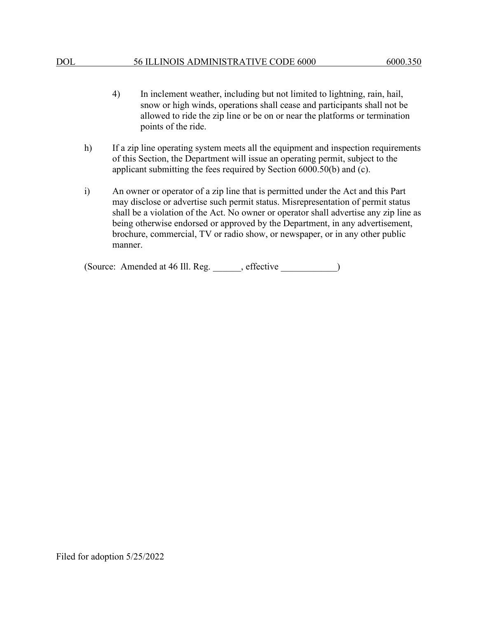- 4) In inclement weather, including but not limited to lightning, rain, hail, snow or high winds, operations shall cease and participants shall not be allowed to ride the zip line or be on or near the platforms or termination points of the ride.
- h) If a zip line operating system meets all the equipment and inspection requirements of this Section, the Department will issue an operating permit, subject to the applicant submitting the fees required by Section 6000.50(b) and (c).
- i) An owner or operator of a zip line that is permitted under the Act and this Part may disclose or advertise such permit status. Misrepresentation of permit status shall be a violation of the Act. No owner or operator shall advertise any zip line as being otherwise endorsed or approved by the Department, in any advertisement, brochure, commercial, TV or radio show, or newspaper, or in any other public manner.

(Source: Amended at 46 Ill. Reg. effective )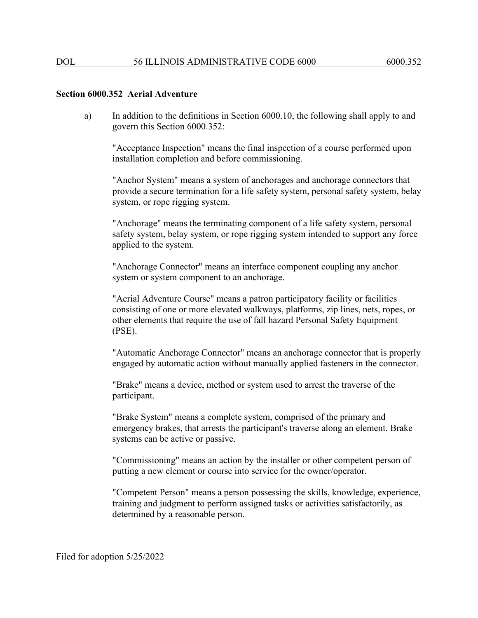#### **Section 6000.352 Aerial Adventure**

a) In addition to the definitions in Section 6000.10, the following shall apply to and govern this Section 6000.352:

"Acceptance Inspection" means the final inspection of a course performed upon installation completion and before commissioning.

"Anchor System" means a system of anchorages and anchorage connectors that provide a secure termination for a life safety system, personal safety system, belay system, or rope rigging system.

"Anchorage" means the terminating component of a life safety system, personal safety system, belay system, or rope rigging system intended to support any force applied to the system.

"Anchorage Connector" means an interface component coupling any anchor system or system component to an anchorage.

"Aerial Adventure Course" means a patron participatory facility or facilities consisting of one or more elevated walkways, platforms, zip lines, nets, ropes, or other elements that require the use of fall hazard Personal Safety Equipment (PSE).

"Automatic Anchorage Connector" means an anchorage connector that is properly engaged by automatic action without manually applied fasteners in the connector.

"Brake" means a device, method or system used to arrest the traverse of the participant.

"Brake System" means a complete system, comprised of the primary and emergency brakes, that arrests the participant's traverse along an element. Brake systems can be active or passive.

"Commissioning" means an action by the installer or other competent person of putting a new element or course into service for the owner/operator.

"Competent Person" means a person possessing the skills, knowledge, experience, training and judgment to perform assigned tasks or activities satisfactorily, as determined by a reasonable person.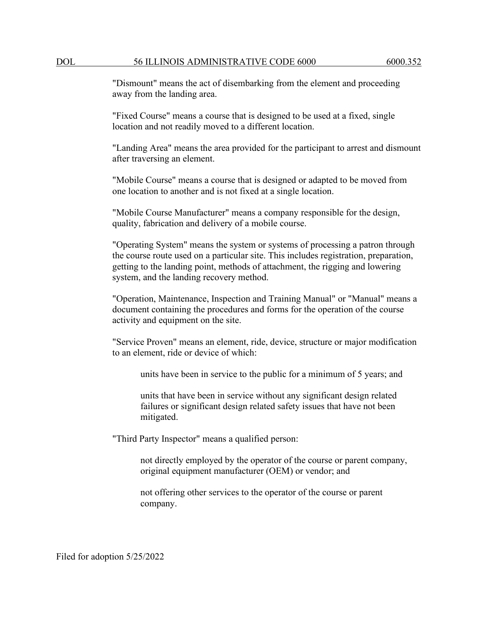"Dismount" means the act of disembarking from the element and proceeding away from the landing area.

"Fixed Course" means a course that is designed to be used at a fixed, single location and not readily moved to a different location.

"Landing Area" means the area provided for the participant to arrest and dismount after traversing an element.

"Mobile Course" means a course that is designed or adapted to be moved from one location to another and is not fixed at a single location.

"Mobile Course Manufacturer" means a company responsible for the design, quality, fabrication and delivery of a mobile course.

"Operating System" means the system or systems of processing a patron through the course route used on a particular site. This includes registration, preparation, getting to the landing point, methods of attachment, the rigging and lowering system, and the landing recovery method.

"Operation, Maintenance, Inspection and Training Manual" or "Manual" means a document containing the procedures and forms for the operation of the course activity and equipment on the site.

"Service Proven" means an element, ride, device, structure or major modification to an element, ride or device of which:

units have been in service to the public for a minimum of 5 years; and

units that have been in service without any significant design related failures or significant design related safety issues that have not been mitigated.

"Third Party Inspector" means a qualified person:

not directly employed by the operator of the course or parent company, original equipment manufacturer (OEM) or vendor; and

not offering other services to the operator of the course or parent company.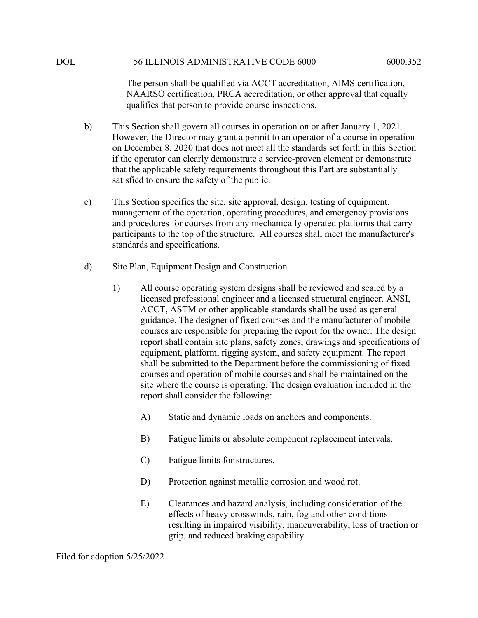The person shall be qualified via ACCT accreditation, AIMS certification, NAARSO certification, PRCA accreditation, or other approval that equally qualifies that person to provide course inspections.

- b) This Section shall govern all courses in operation on or after January 1, 2021. However, the Director may grant a permit to an operator of a course in operation on December 8, 2020 that does not meet all the standards set forth in this Section if the operator can clearly demonstrate a service-proven element or demonstrate that the applicable safety requirements throughout this Part are substantially satisfied to ensure the safety of the public.
- c) This Section specifies the site, site approval, design, testing of equipment, management of the operation, operating procedures, and emergency provisions and procedures for courses from any mechanically operated platforms that carry participants to the top of the structure. All courses shall meet the manufacturer's standards and specifications.
- d) Site Plan, Equipment Design and Construction
	- 1) All course operating system designs shall be reviewed and sealed by a licensed professional engineer and a licensed structural engineer. ANSI, ACCT, ASTM or other applicable standards shall be used as general guidance. The designer of fixed courses and the manufacturer of mobile courses are responsible for preparing the report for the owner. The design report shall contain site plans, safety zones, drawings and specifications of equipment, platform, rigging system, and safety equipment. The report shall be submitted to the Department before the commissioning of fixed courses and operation of mobile courses and shall be maintained on the site where the course is operating. The design evaluation included in the report shall consider the following:
		- A) Static and dynamic loads on anchors and components.
		- B) Fatigue limits or absolute component replacement intervals.
		- C) Fatigue limits for structures.
		- D) Protection against metallic corrosion and wood rot.
		- E) Clearances and hazard analysis, including consideration of the effects of heavy crosswinds, rain, fog and other conditions resulting in impaired visibility, maneuverability, loss of traction or grip, and reduced braking capability.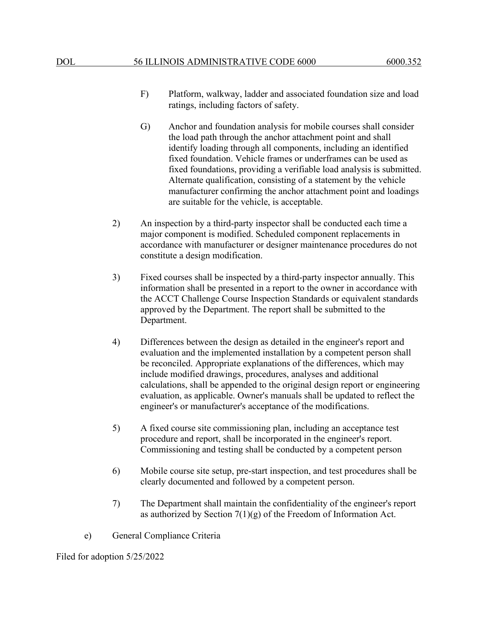- F) Platform, walkway, ladder and associated foundation size and load ratings, including factors of safety.
- G) Anchor and foundation analysis for mobile courses shall consider the load path through the anchor attachment point and shall identify loading through all components, including an identified fixed foundation. Vehicle frames or underframes can be used as fixed foundations, providing a verifiable load analysis is submitted. Alternate qualification, consisting of a statement by the vehicle manufacturer confirming the anchor attachment point and loadings are suitable for the vehicle, is acceptable.
- 2) An inspection by a third-party inspector shall be conducted each time a major component is modified. Scheduled component replacements in accordance with manufacturer or designer maintenance procedures do not constitute a design modification.
- 3) Fixed courses shall be inspected by a third-party inspector annually. This information shall be presented in a report to the owner in accordance with the ACCT Challenge Course Inspection Standards or equivalent standards approved by the Department. The report shall be submitted to the Department.
- 4) Differences between the design as detailed in the engineer's report and evaluation and the implemented installation by a competent person shall be reconciled. Appropriate explanations of the differences, which may include modified drawings, procedures, analyses and additional calculations, shall be appended to the original design report or engineering evaluation, as applicable. Owner's manuals shall be updated to reflect the engineer's or manufacturer's acceptance of the modifications.
- 5) A fixed course site commissioning plan, including an acceptance test procedure and report, shall be incorporated in the engineer's report. Commissioning and testing shall be conducted by a competent person
- 6) Mobile course site setup, pre-start inspection, and test procedures shall be clearly documented and followed by a competent person.
- 7) The Department shall maintain the confidentiality of the engineer's report as authorized by Section  $7(1)(g)$  of the Freedom of Information Act.
- e) General Compliance Criteria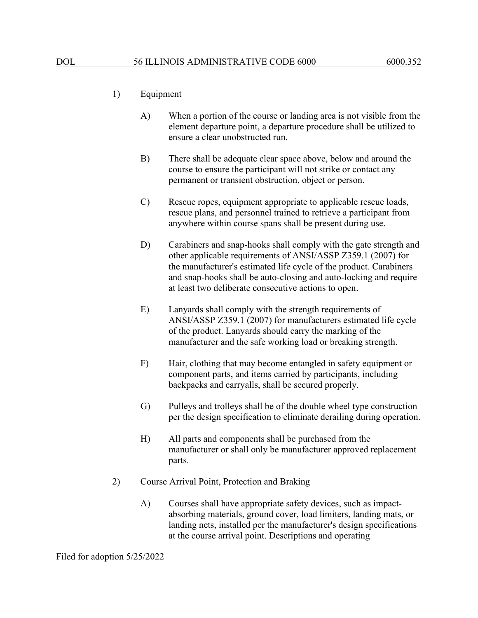# 1) Equipment

- A) When a portion of the course or landing area is not visible from the element departure point, a departure procedure shall be utilized to ensure a clear unobstructed run.
- B) There shall be adequate clear space above, below and around the course to ensure the participant will not strike or contact any permanent or transient obstruction, object or person.
- C) Rescue ropes, equipment appropriate to applicable rescue loads, rescue plans, and personnel trained to retrieve a participant from anywhere within course spans shall be present during use.
- D) Carabiners and snap-hooks shall comply with the gate strength and other applicable requirements of ANSI/ASSP Z359.1 (2007) for the manufacturer's estimated life cycle of the product. Carabiners and snap-hooks shall be auto-closing and auto-locking and require at least two deliberate consecutive actions to open.
- E) Lanyards shall comply with the strength requirements of ANSI/ASSP Z359.1 (2007) for manufacturers estimated life cycle of the product. Lanyards should carry the marking of the manufacturer and the safe working load or breaking strength.
- F) Hair, clothing that may become entangled in safety equipment or component parts, and items carried by participants, including backpacks and carryalls, shall be secured properly.
- G) Pulleys and trolleys shall be of the double wheel type construction per the design specification to eliminate derailing during operation.
- H) All parts and components shall be purchased from the manufacturer or shall only be manufacturer approved replacement parts.
- 2) Course Arrival Point, Protection and Braking
	- A) Courses shall have appropriate safety devices, such as impactabsorbing materials, ground cover, load limiters, landing mats, or landing nets, installed per the manufacturer's design specifications at the course arrival point. Descriptions and operating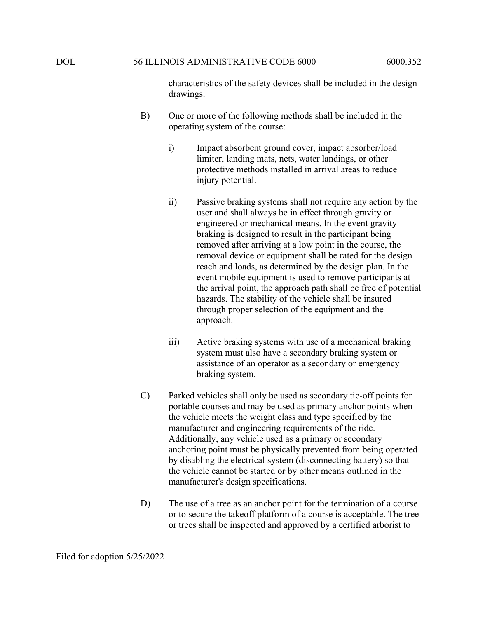characteristics of the safety devices shall be included in the design drawings.

- B) One or more of the following methods shall be included in the operating system of the course:
	- i) Impact absorbent ground cover, impact absorber/load limiter, landing mats, nets, water landings, or other protective methods installed in arrival areas to reduce injury potential.
	- ii) Passive braking systems shall not require any action by the user and shall always be in effect through gravity or engineered or mechanical means. In the event gravity braking is designed to result in the participant being removed after arriving at a low point in the course, the removal device or equipment shall be rated for the design reach and loads, as determined by the design plan. In the event mobile equipment is used to remove participants at the arrival point, the approach path shall be free of potential hazards. The stability of the vehicle shall be insured through proper selection of the equipment and the approach.
	- iii) Active braking systems with use of a mechanical braking system must also have a secondary braking system or assistance of an operator as a secondary or emergency braking system.
- C) Parked vehicles shall only be used as secondary tie-off points for portable courses and may be used as primary anchor points when the vehicle meets the weight class and type specified by the manufacturer and engineering requirements of the ride. Additionally, any vehicle used as a primary or secondary anchoring point must be physically prevented from being operated by disabling the electrical system (disconnecting battery) so that the vehicle cannot be started or by other means outlined in the manufacturer's design specifications.
- D) The use of a tree as an anchor point for the termination of a course or to secure the takeoff platform of a course is acceptable. The tree or trees shall be inspected and approved by a certified arborist to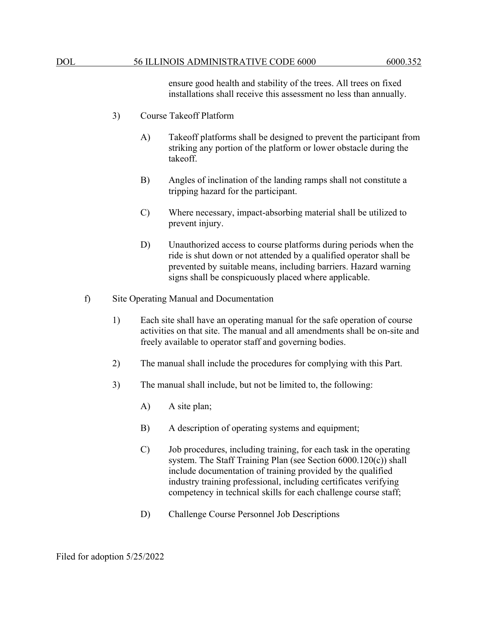ensure good health and stability of the trees. All trees on fixed installations shall receive this assessment no less than annually.

- 3) Course Takeoff Platform
	- A) Takeoff platforms shall be designed to prevent the participant from striking any portion of the platform or lower obstacle during the takeoff.
	- B) Angles of inclination of the landing ramps shall not constitute a tripping hazard for the participant.
	- C) Where necessary, impact-absorbing material shall be utilized to prevent injury.
	- D) Unauthorized access to course platforms during periods when the ride is shut down or not attended by a qualified operator shall be prevented by suitable means, including barriers. Hazard warning signs shall be conspicuously placed where applicable.
- f) Site Operating Manual and Documentation
	- 1) Each site shall have an operating manual for the safe operation of course activities on that site. The manual and all amendments shall be on-site and freely available to operator staff and governing bodies.
	- 2) The manual shall include the procedures for complying with this Part.
	- 3) The manual shall include, but not be limited to, the following:
		- A) A site plan;
		- B) A description of operating systems and equipment;
		- C) Job procedures, including training, for each task in the operating system. The Staff Training Plan (see Section 6000.120(c)) shall include documentation of training provided by the qualified industry training professional, including certificates verifying competency in technical skills for each challenge course staff;
		- D) Challenge Course Personnel Job Descriptions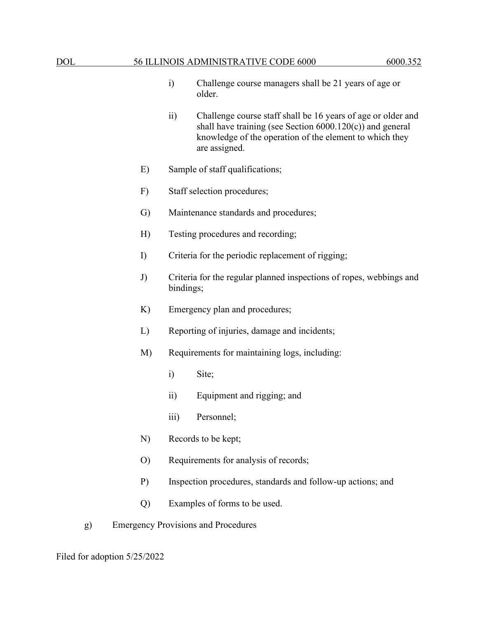- i) Challenge course managers shall be 21 years of age or older.
- ii) Challenge course staff shall be 16 years of age or older and shall have training (see Section 6000.120(c)) and general knowledge of the operation of the element to which they are assigned.
- E) Sample of staff qualifications;
- F) Staff selection procedures;
- G) Maintenance standards and procedures;
- H) Testing procedures and recording;
- I) Criteria for the periodic replacement of rigging;
- J) Criteria for the regular planned inspections of ropes, webbings and bindings;
- K) Emergency plan and procedures;
- L) Reporting of injuries, damage and incidents;
- M) Requirements for maintaining logs, including:
	- i) Site;
	- ii) Equipment and rigging; and
	- iii) Personnel;
- N) Records to be kept;
- O) Requirements for analysis of records;
- P) Inspection procedures, standards and follow-up actions; and
- Q) Examples of forms to be used.
- g) Emergency Provisions and Procedures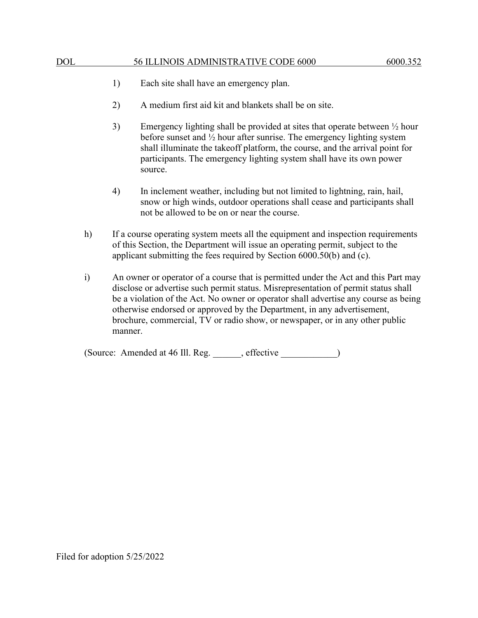- 1) Each site shall have an emergency plan.
- 2) A medium first aid kit and blankets shall be on site.
- 3) Emergency lighting shall be provided at sites that operate between ½ hour before sunset and ½ hour after sunrise. The emergency lighting system shall illuminate the takeoff platform, the course, and the arrival point for participants. The emergency lighting system shall have its own power source.
- 4) In inclement weather, including but not limited to lightning, rain, hail, snow or high winds, outdoor operations shall cease and participants shall not be allowed to be on or near the course.
- h) If a course operating system meets all the equipment and inspection requirements of this Section, the Department will issue an operating permit, subject to the applicant submitting the fees required by Section 6000.50(b) and (c).
- i) An owner or operator of a course that is permitted under the Act and this Part may disclose or advertise such permit status. Misrepresentation of permit status shall be a violation of the Act. No owner or operator shall advertise any course as being otherwise endorsed or approved by the Department, in any advertisement, brochure, commercial, TV or radio show, or newspaper, or in any other public manner.

(Source: Amended at 46 Ill. Reg. effective )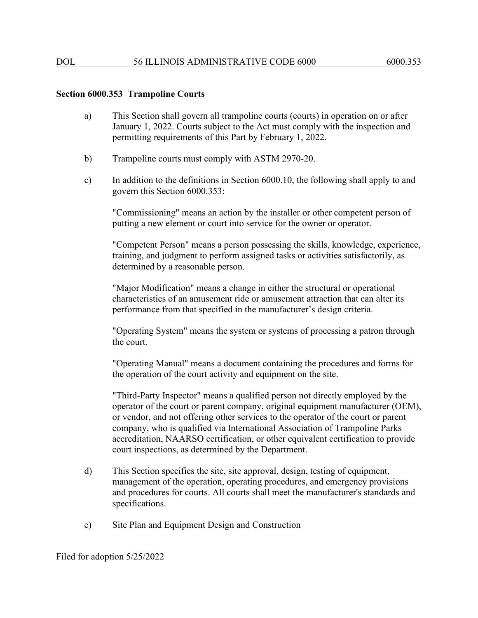### **Section 6000.353 Trampoline Courts**

- a) This Section shall govern all trampoline courts (courts) in operation on or after January 1, 2022. Courts subject to the Act must comply with the inspection and permitting requirements of this Part by February 1, 2022.
- b) Trampoline courts must comply with ASTM 2970-20.
- c) In addition to the definitions in Section 6000.10, the following shall apply to and govern this Section 6000.353:

"Commissioning" means an action by the installer or other competent person of putting a new element or court into service for the owner or operator.

"Competent Person" means a person possessing the skills, knowledge, experience, training, and judgment to perform assigned tasks or activities satisfactorily, as determined by a reasonable person.

"Major Modification" means a change in either the structural or operational characteristics of an amusement ride or amusement attraction that can alter its performance from that specified in the manufacturer's design criteria.

"Operating System" means the system or systems of processing a patron through the court.

"Operating Manual" means a document containing the procedures and forms for the operation of the court activity and equipment on the site.

"Third-Party Inspector" means a qualified person not directly employed by the operator of the court or parent company, original equipment manufacturer (OEM), or vendor, and not offering other services to the operator of the court or parent company, who is qualified via International Association of Trampoline Parks accreditation, NAARSO certification, or other equivalent certification to provide court inspections, as determined by the Department.

- d) This Section specifies the site, site approval, design, testing of equipment, management of the operation, operating procedures, and emergency provisions and procedures for courts. All courts shall meet the manufacturer's standards and specifications.
- e) Site Plan and Equipment Design and Construction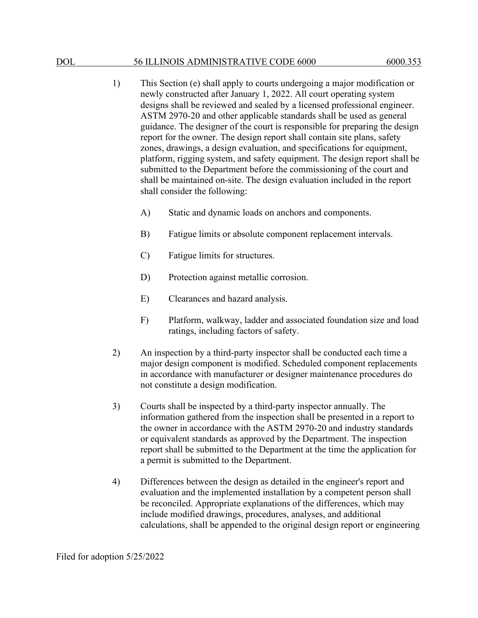- 1) This Section (e) shall apply to courts undergoing a major modification or newly constructed after January 1, 2022. All court operating system designs shall be reviewed and sealed by a licensed professional engineer. ASTM 2970-20 and other applicable standards shall be used as general guidance. The designer of the court is responsible for preparing the design report for the owner. The design report shall contain site plans, safety zones, drawings, a design evaluation, and specifications for equipment, platform, rigging system, and safety equipment. The design report shall be submitted to the Department before the commissioning of the court and shall be maintained on-site. The design evaluation included in the report shall consider the following:
	- A) Static and dynamic loads on anchors and components.
	- B) Fatigue limits or absolute component replacement intervals.
	- C) Fatigue limits for structures.
	- D) Protection against metallic corrosion.
	- E) Clearances and hazard analysis.
	- F) Platform, walkway, ladder and associated foundation size and load ratings, including factors of safety.
- 2) An inspection by a third-party inspector shall be conducted each time a major design component is modified. Scheduled component replacements in accordance with manufacturer or designer maintenance procedures do not constitute a design modification.
- 3) Courts shall be inspected by a third-party inspector annually. The information gathered from the inspection shall be presented in a report to the owner in accordance with the ASTM 2970-20 and industry standards or equivalent standards as approved by the Department. The inspection report shall be submitted to the Department at the time the application for a permit is submitted to the Department.
- 4) Differences between the design as detailed in the engineer's report and evaluation and the implemented installation by a competent person shall be reconciled. Appropriate explanations of the differences, which may include modified drawings, procedures, analyses, and additional calculations, shall be appended to the original design report or engineering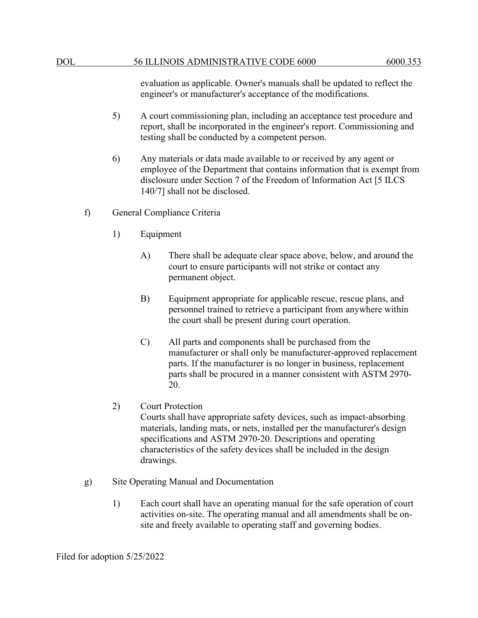evaluation as applicable. Owner's manuals shall be updated to reflect the engineer's or manufacturer's acceptance of the modifications.

- 5) A court commissioning plan, including an acceptance test procedure and report, shall be incorporated in the engineer's report. Commissioning and testing shall be conducted by a competent person.
- 6) Any materials or data made available to or received by any agent or employee of the Department that contains information that is exempt from disclosure under Section 7 of the Freedom of Information Act [5 ILCS 140/7] shall not be disclosed.
- f) General Compliance Criteria
	- 1) Equipment
		- A) There shall be adequate clear space above, below, and around the court to ensure participants will not strike or contact any permanent object.
		- B) Equipment appropriate for applicable rescue, rescue plans, and personnel trained to retrieve a participant from anywhere within the court shall be present during court operation.
		- C) All parts and components shall be purchased from the manufacturer or shall only be manufacturer-approved replacement parts. If the manufacturer is no longer in business, replacement parts shall be procured in a manner consistent with ASTM 2970- 20.
	- 2) Court Protection

Courts shall have appropriate safety devices, such as impact-absorbing materials, landing mats, or nets, installed per the manufacturer's design specifications and ASTM 2970-20. Descriptions and operating characteristics of the safety devices shall be included in the design drawings.

- g) Site Operating Manual and Documentation
	- 1) Each court shall have an operating manual for the safe operation of court activities on-site. The operating manual and all amendments shall be onsite and freely available to operating staff and governing bodies.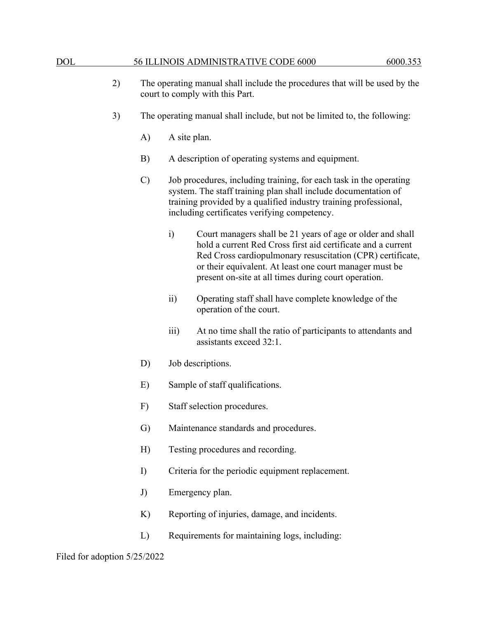| 2) | The operating manual shall include the procedures that will be used by the |
|----|----------------------------------------------------------------------------|
|    | court to comply with this Part.                                            |

- 3) The operating manual shall include, but not be limited to, the following:
	- A) A site plan.
	- B) A description of operating systems and equipment.
	- C) Job procedures, including training, for each task in the operating system. The staff training plan shall include documentation of training provided by a qualified industry training professional, including certificates verifying competency.
		- i) Court managers shall be 21 years of age or older and shall hold a current Red Cross first aid certificate and a current Red Cross cardiopulmonary resuscitation (CPR) certificate, or their equivalent. At least one court manager must be present on-site at all times during court operation.
		- ii) Operating staff shall have complete knowledge of the operation of the court.
		- iii) At no time shall the ratio of participants to attendants and assistants exceed 32:1.
	- D) Job descriptions.
	- E) Sample of staff qualifications.
	- F) Staff selection procedures.
	- G) Maintenance standards and procedures.
	- H) Testing procedures and recording.
	- I) Criteria for the periodic equipment replacement.
	- J) Emergency plan.
	- K) Reporting of injuries, damage, and incidents.
	- L) Requirements for maintaining logs, including: